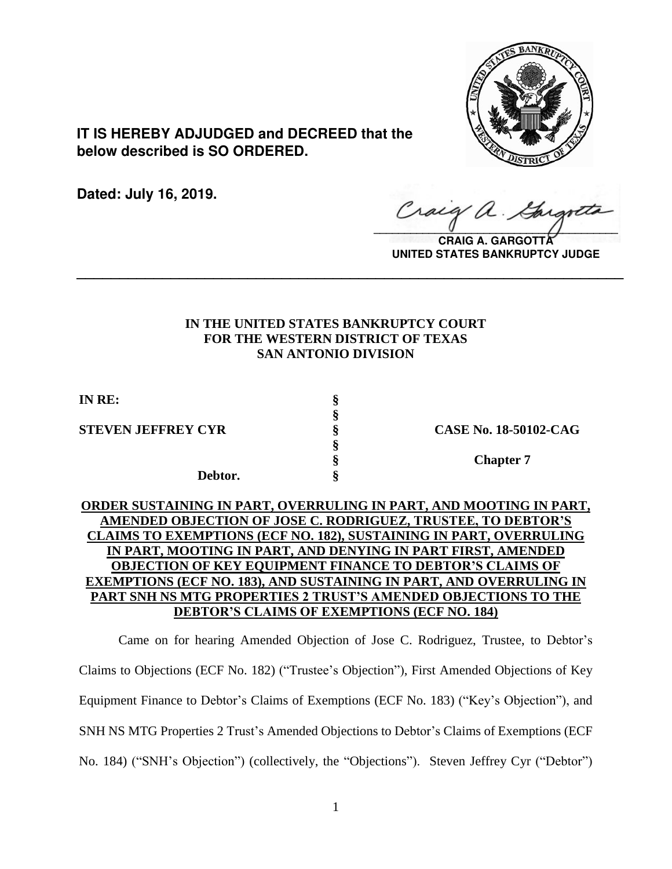

**IT IS HEREBY ADJUDGED and DECREED that the below described is SO ORDERED.**

**Dated: July 16, 2019.**

 $\sqrt{2}$ 

**CRAIG A. GARGOTT UNITED STATES BANKRUPTCY JUDGE**

# **IN THE UNITED STATES BANKRUPTCY COURT FOR THE WESTERN DISTRICT OF TEXAS SAN ANTONIO DIVISION**

**\_\_\_\_\_\_\_\_\_\_\_\_\_\_\_\_\_\_\_\_\_\_\_\_\_\_\_\_\_\_\_\_\_\_\_\_\_\_\_\_\_\_\_\_\_\_\_\_\_\_\_\_\_\_\_\_\_\_\_\_\_\_\_\_**

**§**

**§**

**IN RE: §**

**STEVEN JEFFREY CYR § CASE No. 18-50102-CAG**

**Debtor. §**

**§ Chapter 7**

# **ORDER SUSTAINING IN PART, OVERRULING IN PART, AND MOOTING IN PART, AMENDED OBJECTION OF JOSE C. RODRIGUEZ, TRUSTEE, TO DEBTOR'S CLAIMS TO EXEMPTIONS (ECF NO. 182), SUSTAINING IN PART, OVERRULING IN PART, MOOTING IN PART, AND DENYING IN PART FIRST, AMENDED OBJECTION OF KEY EQUIPMENT FINANCE TO DEBTOR'S CLAIMS OF EXEMPTIONS (ECF NO. 183), AND SUSTAINING IN PART, AND OVERRULING IN PART SNH NS MTG PROPERTIES 2 TRUST'S AMENDED OBJECTIONS TO THE DEBTOR'S CLAIMS OF EXEMPTIONS (ECF NO. 184)**

Came on for hearing Amended Objection of Jose C. Rodriguez, Trustee, to Debtor's Claims to Objections (ECF No. 182) ("Trustee's Objection"), First Amended Objections of Key Equipment Finance to Debtor's Claims of Exemptions (ECF No. 183) ("Key's Objection"), and SNH NS MTG Properties 2 Trust's Amended Objections to Debtor's Claims of Exemptions (ECF No. 184) ("SNH's Objection") (collectively, the "Objections"). Steven Jeffrey Cyr ("Debtor")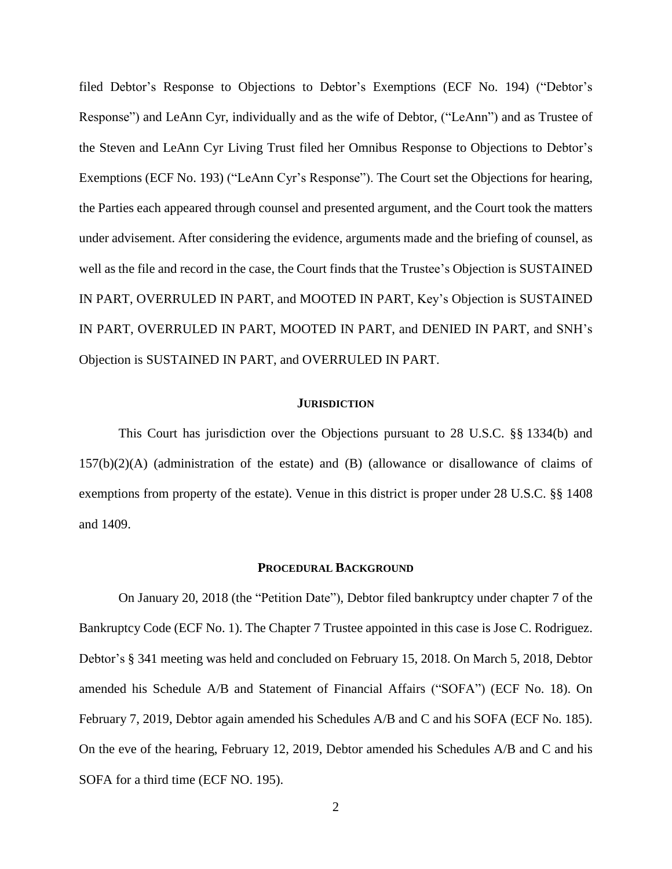filed Debtor's Response to Objections to Debtor's Exemptions (ECF No. 194) ("Debtor's Response") and LeAnn Cyr, individually and as the wife of Debtor, ("LeAnn") and as Trustee of the Steven and LeAnn Cyr Living Trust filed her Omnibus Response to Objections to Debtor's Exemptions (ECF No. 193) ("LeAnn Cyr's Response"). The Court set the Objections for hearing, the Parties each appeared through counsel and presented argument, and the Court took the matters under advisement. After considering the evidence, arguments made and the briefing of counsel, as well as the file and record in the case, the Court finds that the Trustee's Objection is SUSTAINED IN PART, OVERRULED IN PART, and MOOTED IN PART, Key's Objection is SUSTAINED IN PART, OVERRULED IN PART, MOOTED IN PART, and DENIED IN PART, and SNH's Objection is SUSTAINED IN PART, and OVERRULED IN PART.

#### **JURISDICTION**

This Court has jurisdiction over the Objections pursuant to 28 U.S.C. §§ 1334(b) and 157(b)(2)(A) (administration of the estate) and (B) (allowance or disallowance of claims of exemptions from property of the estate). Venue in this district is proper under 28 U.S.C. §§ 1408 and 1409.

#### **PROCEDURAL BACKGROUND**

On January 20, 2018 (the "Petition Date"), Debtor filed bankruptcy under chapter 7 of the Bankruptcy Code (ECF No. 1). The Chapter 7 Trustee appointed in this case is Jose C. Rodriguez. Debtor's § 341 meeting was held and concluded on February 15, 2018. On March 5, 2018, Debtor amended his Schedule A/B and Statement of Financial Affairs ("SOFA") (ECF No. 18). On February 7, 2019, Debtor again amended his Schedules A/B and C and his SOFA (ECF No. 185). On the eve of the hearing, February 12, 2019, Debtor amended his Schedules A/B and C and his SOFA for a third time (ECF NO. 195).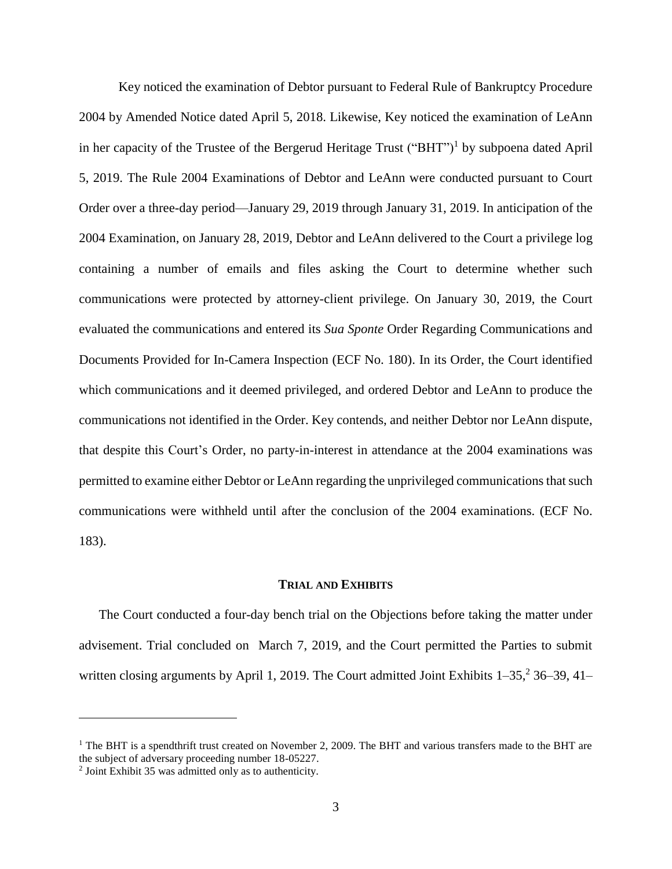Key noticed the examination of Debtor pursuant to Federal Rule of Bankruptcy Procedure 2004 by Amended Notice dated April 5, 2018. Likewise, Key noticed the examination of LeAnn in her capacity of the Trustee of the Bergerud Heritage Trust ("BHT")<sup>1</sup> by subpoena dated April 5, 2019. The Rule 2004 Examinations of Debtor and LeAnn were conducted pursuant to Court Order over a three-day period—January 29, 2019 through January 31, 2019. In anticipation of the 2004 Examination, on January 28, 2019, Debtor and LeAnn delivered to the Court a privilege log containing a number of emails and files asking the Court to determine whether such communications were protected by attorney-client privilege. On January 30, 2019, the Court evaluated the communications and entered its *Sua Sponte* Order Regarding Communications and Documents Provided for In-Camera Inspection (ECF No. 180). In its Order, the Court identified which communications and it deemed privileged, and ordered Debtor and LeAnn to produce the communications not identified in the Order. Key contends, and neither Debtor nor LeAnn dispute, that despite this Court's Order, no party-in-interest in attendance at the 2004 examinations was permitted to examine either Debtor or LeAnn regarding the unprivileged communications thatsuch communications were withheld until after the conclusion of the 2004 examinations. (ECF No. 183).

### **TRIAL AND EXHIBITS**

The Court conducted a four-day bench trial on the Objections before taking the matter under advisement. Trial concluded on March 7, 2019, and the Court permitted the Parties to submit written closing arguments by April 1, 2019. The Court admitted Joint Exhibits 1–35,<sup>2</sup> 36–39, 41–

 $\overline{a}$ 

<sup>&</sup>lt;sup>1</sup> The BHT is a spendthrift trust created on November 2, 2009. The BHT and various transfers made to the BHT are the subject of adversary proceeding number 18-05227.

<sup>2</sup> Joint Exhibit 35 was admitted only as to authenticity.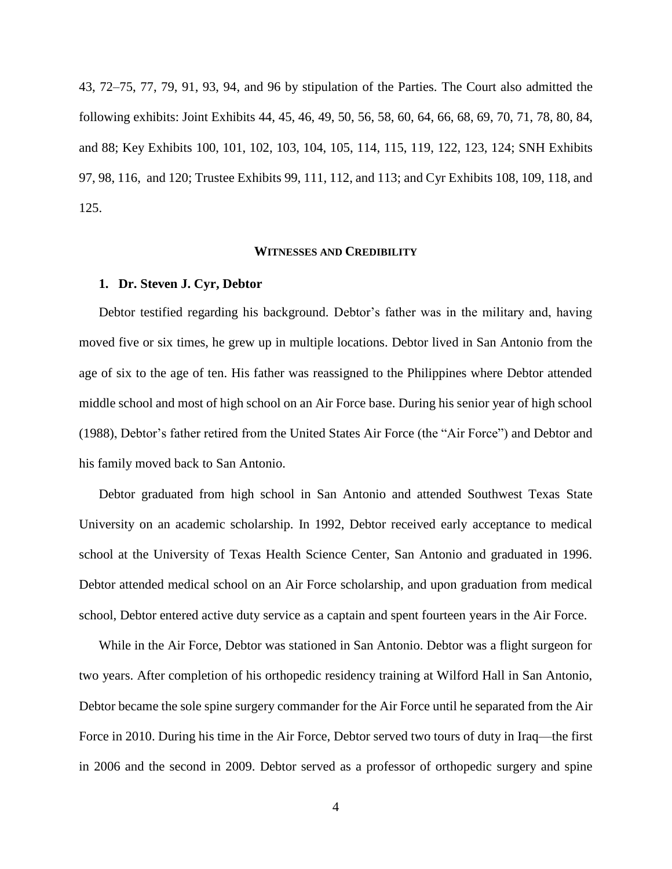43, 72–75, 77, 79, 91, 93, 94, and 96 by stipulation of the Parties. The Court also admitted the following exhibits: Joint Exhibits 44, 45, 46, 49, 50, 56, 58, 60, 64, 66, 68, 69, 70, 71, 78, 80, 84, and 88; Key Exhibits 100, 101, 102, 103, 104, 105, 114, 115, 119, 122, 123, 124; SNH Exhibits 97, 98, 116, and 120; Trustee Exhibits 99, 111, 112, and 113; and Cyr Exhibits 108, 109, 118, and 125.

#### **WITNESSES AND CREDIBILITY**

# **1. Dr. Steven J. Cyr, Debtor**

Debtor testified regarding his background. Debtor's father was in the military and, having moved five or six times, he grew up in multiple locations. Debtor lived in San Antonio from the age of six to the age of ten. His father was reassigned to the Philippines where Debtor attended middle school and most of high school on an Air Force base. During his senior year of high school (1988), Debtor's father retired from the United States Air Force (the "Air Force") and Debtor and his family moved back to San Antonio.

Debtor graduated from high school in San Antonio and attended Southwest Texas State University on an academic scholarship. In 1992, Debtor received early acceptance to medical school at the University of Texas Health Science Center, San Antonio and graduated in 1996. Debtor attended medical school on an Air Force scholarship, and upon graduation from medical school, Debtor entered active duty service as a captain and spent fourteen years in the Air Force.

While in the Air Force, Debtor was stationed in San Antonio. Debtor was a flight surgeon for two years. After completion of his orthopedic residency training at Wilford Hall in San Antonio, Debtor became the sole spine surgery commander for the Air Force until he separated from the Air Force in 2010. During his time in the Air Force, Debtor served two tours of duty in Iraq—the first in 2006 and the second in 2009. Debtor served as a professor of orthopedic surgery and spine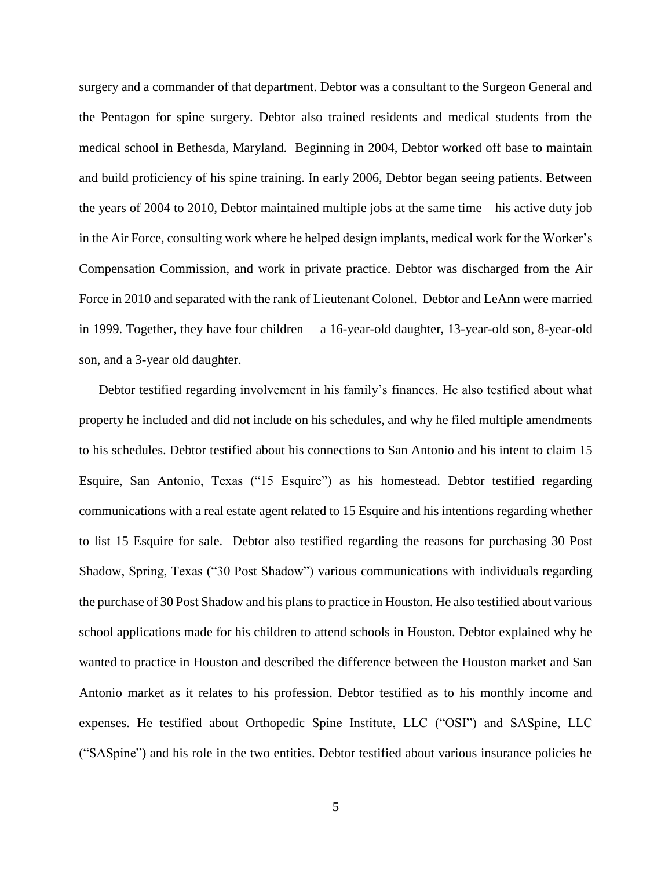surgery and a commander of that department. Debtor was a consultant to the Surgeon General and the Pentagon for spine surgery. Debtor also trained residents and medical students from the medical school in Bethesda, Maryland. Beginning in 2004, Debtor worked off base to maintain and build proficiency of his spine training. In early 2006, Debtor began seeing patients. Between the years of 2004 to 2010, Debtor maintained multiple jobs at the same time—his active duty job in the Air Force, consulting work where he helped design implants, medical work for the Worker's Compensation Commission, and work in private practice. Debtor was discharged from the Air Force in 2010 and separated with the rank of Lieutenant Colonel. Debtor and LeAnn were married in 1999. Together, they have four children— a 16-year-old daughter, 13-year-old son, 8-year-old son, and a 3-year old daughter.

Debtor testified regarding involvement in his family's finances. He also testified about what property he included and did not include on his schedules, and why he filed multiple amendments to his schedules. Debtor testified about his connections to San Antonio and his intent to claim 15 Esquire, San Antonio, Texas ("15 Esquire") as his homestead. Debtor testified regarding communications with a real estate agent related to 15 Esquire and his intentions regarding whether to list 15 Esquire for sale. Debtor also testified regarding the reasons for purchasing 30 Post Shadow, Spring, Texas ("30 Post Shadow") various communications with individuals regarding the purchase of 30 Post Shadow and his plans to practice in Houston. He also testified about various school applications made for his children to attend schools in Houston. Debtor explained why he wanted to practice in Houston and described the difference between the Houston market and San Antonio market as it relates to his profession. Debtor testified as to his monthly income and expenses. He testified about Orthopedic Spine Institute, LLC ("OSI") and SASpine, LLC ("SASpine") and his role in the two entities. Debtor testified about various insurance policies he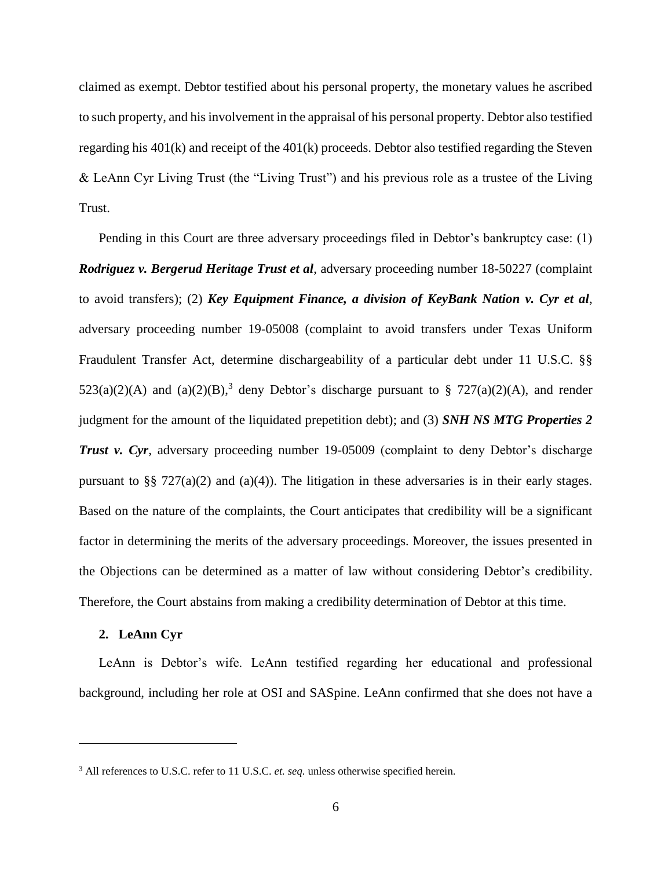claimed as exempt. Debtor testified about his personal property, the monetary values he ascribed to such property, and his involvement in the appraisal of his personal property. Debtor also testified regarding his 401(k) and receipt of the 401(k) proceeds. Debtor also testified regarding the Steven & LeAnn Cyr Living Trust (the "Living Trust") and his previous role as a trustee of the Living Trust.

Pending in this Court are three adversary proceedings filed in Debtor's bankruptcy case: (1) *Rodriguez v. Bergerud Heritage Trust et al*, adversary proceeding number 18-50227 (complaint to avoid transfers); (2) *Key Equipment Finance, a division of KeyBank Nation v. Cyr et al*, adversary proceeding number 19-05008 (complaint to avoid transfers under Texas Uniform Fraudulent Transfer Act, determine dischargeability of a particular debt under 11 U.S.C. §§  $523(a)(2)(A)$  and  $(a)(2)(B)$ ,<sup>3</sup> deny Debtor's discharge pursuant to § 727(a)(2)(A), and render judgment for the amount of the liquidated prepetition debt); and (3) *SNH NS MTG Properties 2 Trust v. Cyr.* adversary proceeding number 19-05009 (complaint to deny Debtor's discharge pursuant to §§ 727(a)(2) and (a)(4)). The litigation in these adversaries is in their early stages. Based on the nature of the complaints, the Court anticipates that credibility will be a significant factor in determining the merits of the adversary proceedings. Moreover, the issues presented in the Objections can be determined as a matter of law without considering Debtor's credibility. Therefore, the Court abstains from making a credibility determination of Debtor at this time.

## **2. LeAnn Cyr**

 $\overline{a}$ 

LeAnn is Debtor's wife. LeAnn testified regarding her educational and professional background, including her role at OSI and SASpine. LeAnn confirmed that she does not have a

<sup>3</sup> All references to U.S.C. refer to 11 U.S.C. *et. seq.* unless otherwise specified herein.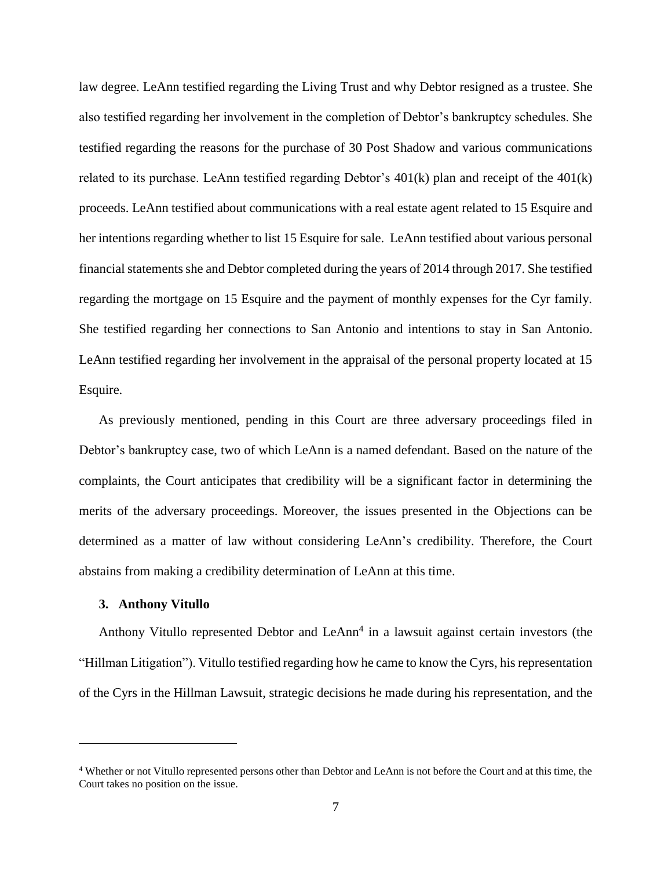law degree. LeAnn testified regarding the Living Trust and why Debtor resigned as a trustee. She also testified regarding her involvement in the completion of Debtor's bankruptcy schedules. She testified regarding the reasons for the purchase of 30 Post Shadow and various communications related to its purchase. LeAnn testified regarding Debtor's 401(k) plan and receipt of the 401(k) proceeds. LeAnn testified about communications with a real estate agent related to 15 Esquire and her intentions regarding whether to list 15 Esquire for sale. LeAnn testified about various personal financial statements she and Debtor completed during the years of 2014 through 2017. She testified regarding the mortgage on 15 Esquire and the payment of monthly expenses for the Cyr family. She testified regarding her connections to San Antonio and intentions to stay in San Antonio. LeAnn testified regarding her involvement in the appraisal of the personal property located at 15 Esquire.

As previously mentioned, pending in this Court are three adversary proceedings filed in Debtor's bankruptcy case, two of which LeAnn is a named defendant. Based on the nature of the complaints, the Court anticipates that credibility will be a significant factor in determining the merits of the adversary proceedings. Moreover, the issues presented in the Objections can be determined as a matter of law without considering LeAnn's credibility. Therefore, the Court abstains from making a credibility determination of LeAnn at this time.

## **3. Anthony Vitullo**

 $\overline{a}$ 

Anthony Vitullo represented Debtor and LeAnn<sup>4</sup> in a lawsuit against certain investors (the "Hillman Litigation"). Vitullo testified regarding how he came to know the Cyrs, his representation of the Cyrs in the Hillman Lawsuit, strategic decisions he made during his representation, and the

<sup>4</sup> Whether or not Vitullo represented persons other than Debtor and LeAnn is not before the Court and at this time, the Court takes no position on the issue.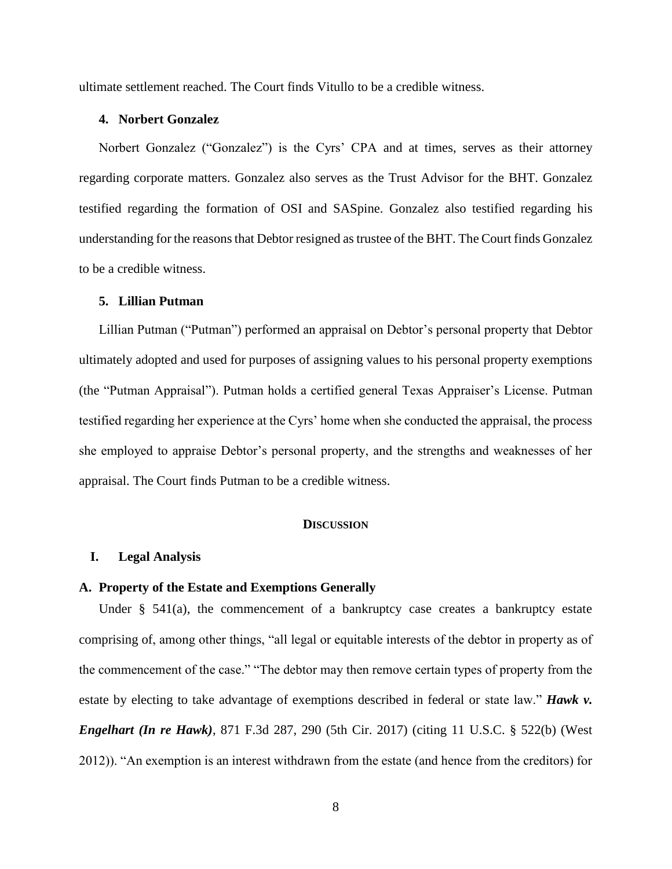ultimate settlement reached. The Court finds Vitullo to be a credible witness.

### **4. Norbert Gonzalez**

Norbert Gonzalez ("Gonzalez") is the Cyrs' CPA and at times, serves as their attorney regarding corporate matters. Gonzalez also serves as the Trust Advisor for the BHT. Gonzalez testified regarding the formation of OSI and SASpine. Gonzalez also testified regarding his understanding for the reasons that Debtor resigned as trustee of the BHT. The Court finds Gonzalez to be a credible witness.

#### **5. Lillian Putman**

Lillian Putman ("Putman") performed an appraisal on Debtor's personal property that Debtor ultimately adopted and used for purposes of assigning values to his personal property exemptions (the "Putman Appraisal"). Putman holds a certified general Texas Appraiser's License. Putman testified regarding her experience at the Cyrs' home when she conducted the appraisal, the process she employed to appraise Debtor's personal property, and the strengths and weaknesses of her appraisal. The Court finds Putman to be a credible witness.

## **DISCUSSION**

### **I. Legal Analysis**

#### **A. Property of the Estate and Exemptions Generally**

Under § 541(a), the commencement of a bankruptcy case creates a bankruptcy estate comprising of, among other things, "all legal or equitable interests of the debtor in property as of the commencement of the case." "The debtor may then remove certain types of property from the estate by electing to take advantage of exemptions described in federal or state law." *Hawk v. Engelhart (In re Hawk)*, 871 F.3d 287, 290 (5th Cir. 2017) (citing 11 U.S.C. § 522(b) (West 2012)). "An exemption is an interest withdrawn from the estate (and hence from the creditors) for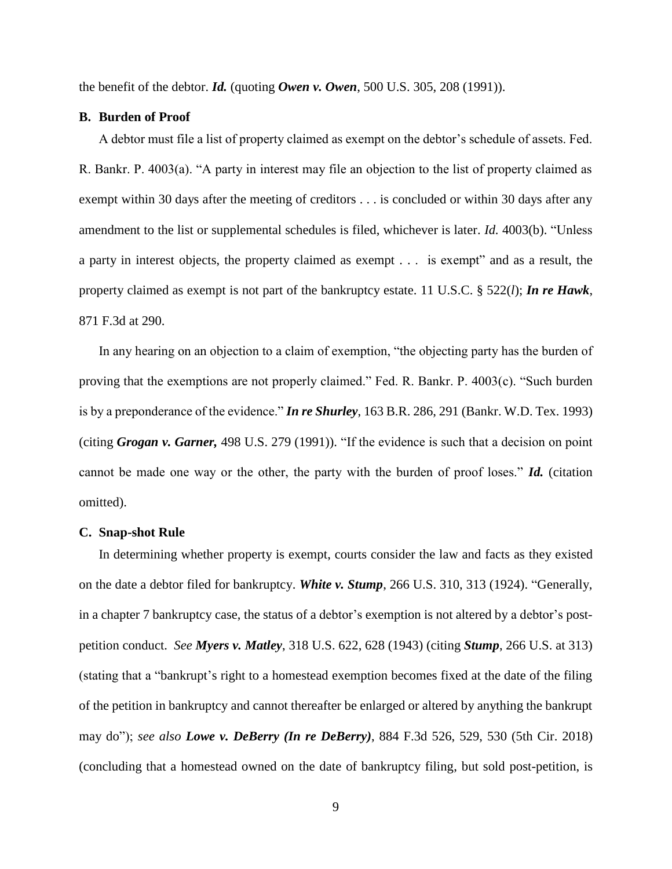the benefit of the debtor. *Id.* (quoting *Owen v. Owen*, 500 U.S. 305, 208 (1991)).

## **B. Burden of Proof**

A debtor must file a list of property claimed as exempt on the debtor's schedule of assets. Fed. R. Bankr. P. 4003(a). "A party in interest may file an objection to the list of property claimed as exempt within 30 days after the meeting of creditors . . . is concluded or within 30 days after any amendment to the list or supplemental schedules is filed, whichever is later. *Id.* 4003(b). "Unless a party in interest objects, the property claimed as exempt . . . is exempt" and as a result, the property claimed as exempt is not part of the bankruptcy estate. 11 U.S.C. § 522(*l*); *In re Hawk*, 871 F.3d at 290.

In any hearing on an objection to a claim of exemption, "the objecting party has the burden of proving that the exemptions are not properly claimed." Fed. R. Bankr. P. 4003(c). "Such burden is by a preponderance of the evidence." *In re Shurley*, 163 B.R. 286, 291 (Bankr. W.D. Tex. 1993) (citing *Grogan v. Garner,* 498 U.S. 279 (1991)). "If the evidence is such that a decision on point cannot be made one way or the other, the party with the burden of proof loses." *Id.* (citation omitted).

#### **C. Snap-shot Rule**

In determining whether property is exempt, courts consider the law and facts as they existed on the date a debtor filed for bankruptcy. *White v. Stump*, 266 U.S. 310, 313 (1924). "Generally, in a chapter 7 bankruptcy case, the status of a debtor's exemption is not altered by a debtor's postpetition conduct. *See Myers v. Matley*, 318 U.S. 622, 628 (1943) (citing *Stump*, 266 U.S. at 313) (stating that a "bankrupt's right to a homestead exemption becomes fixed at the date of the filing of the petition in bankruptcy and cannot thereafter be enlarged or altered by anything the bankrupt may do"); *see also Lowe v. DeBerry (In re DeBerry)*, 884 F.3d 526, 529, 530 (5th Cir. 2018) (concluding that a homestead owned on the date of bankruptcy filing, but sold post-petition, is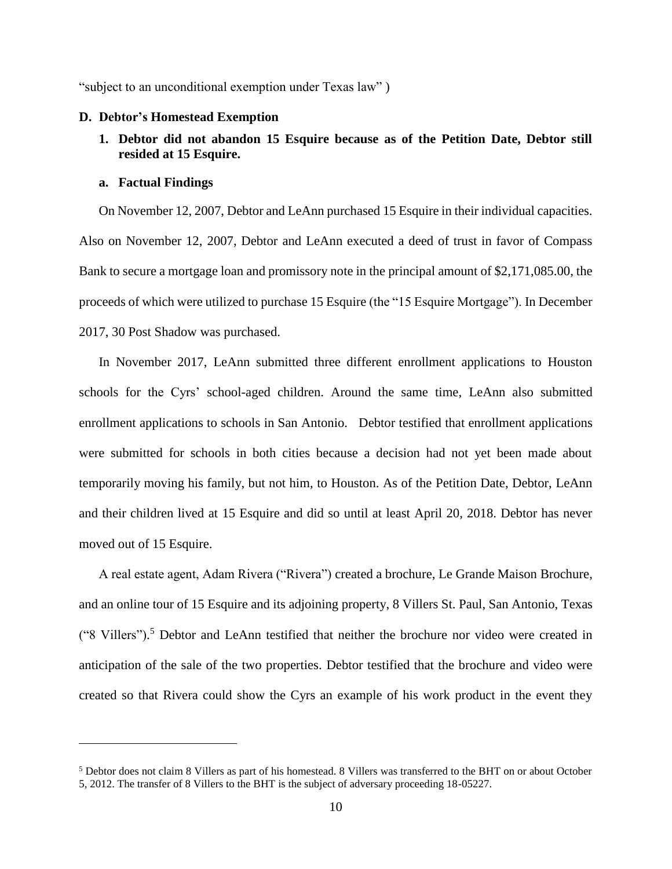"subject to an unconditional exemption under Texas law" )

### **D. Debtor's Homestead Exemption**

**1. Debtor did not abandon 15 Esquire because as of the Petition Date, Debtor still resided at 15 Esquire.**

### **a. Factual Findings**

 $\overline{a}$ 

On November 12, 2007, Debtor and LeAnn purchased 15 Esquire in their individual capacities. Also on November 12, 2007, Debtor and LeAnn executed a deed of trust in favor of Compass Bank to secure a mortgage loan and promissory note in the principal amount of \$2,171,085.00, the proceeds of which were utilized to purchase 15 Esquire (the "15 Esquire Mortgage"). In December 2017, 30 Post Shadow was purchased.

In November 2017, LeAnn submitted three different enrollment applications to Houston schools for the Cyrs' school-aged children. Around the same time, LeAnn also submitted enrollment applications to schools in San Antonio. Debtor testified that enrollment applications were submitted for schools in both cities because a decision had not yet been made about temporarily moving his family, but not him, to Houston. As of the Petition Date, Debtor, LeAnn and their children lived at 15 Esquire and did so until at least April 20, 2018. Debtor has never moved out of 15 Esquire.

A real estate agent, Adam Rivera ("Rivera") created a brochure, Le Grande Maison Brochure, and an online tour of 15 Esquire and its adjoining property, 8 Villers St. Paul, San Antonio, Texas ("8 Villers"). <sup>5</sup> Debtor and LeAnn testified that neither the brochure nor video were created in anticipation of the sale of the two properties. Debtor testified that the brochure and video were created so that Rivera could show the Cyrs an example of his work product in the event they

<sup>5</sup> Debtor does not claim 8 Villers as part of his homestead. 8 Villers was transferred to the BHT on or about October 5, 2012. The transfer of 8 Villers to the BHT is the subject of adversary proceeding 18-05227.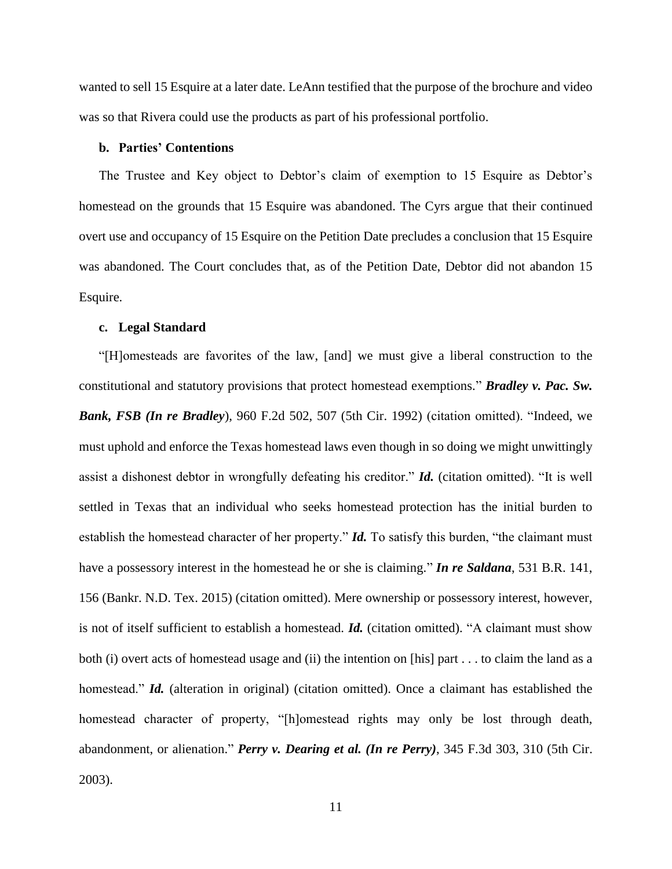wanted to sell 15 Esquire at a later date. LeAnn testified that the purpose of the brochure and video was so that Rivera could use the products as part of his professional portfolio.

### **b. Parties' Contentions**

The Trustee and Key object to Debtor's claim of exemption to 15 Esquire as Debtor's homestead on the grounds that 15 Esquire was abandoned. The Cyrs argue that their continued overt use and occupancy of 15 Esquire on the Petition Date precludes a conclusion that 15 Esquire was abandoned. The Court concludes that, as of the Petition Date, Debtor did not abandon 15 Esquire.

#### **c. Legal Standard**

"[H]omesteads are favorites of the law, [and] we must give a liberal construction to the constitutional and statutory provisions that protect homestead exemptions." *Bradley v. Pac. Sw. Bank, FSB (In re Bradley*), 960 F.2d 502, 507 (5th Cir. 1992) (citation omitted). "Indeed, we must uphold and enforce the Texas homestead laws even though in so doing we might unwittingly assist a dishonest debtor in wrongfully defeating his creditor." *Id.* (citation omitted). "It is well settled in Texas that an individual who seeks homestead protection has the initial burden to establish the homestead character of her property." *Id.* To satisfy this burden, "the claimant must have a possessory interest in the homestead he or she is claiming." *In re Saldana*, 531 B.R. 141, 156 (Bankr. N.D. Tex. 2015) (citation omitted). Mere ownership or possessory interest, however, is not of itself sufficient to establish a homestead. *Id.* (citation omitted). "A claimant must show both (i) overt acts of homestead usage and (ii) the intention on [his] part . . . to claim the land as a homestead." *Id.* (alteration in original) (citation omitted). Once a claimant has established the homestead character of property, "[h]omestead rights may only be lost through death, abandonment, or alienation." *Perry v. Dearing et al. (In re Perry)*, 345 F.3d 303, 310 (5th Cir. 2003).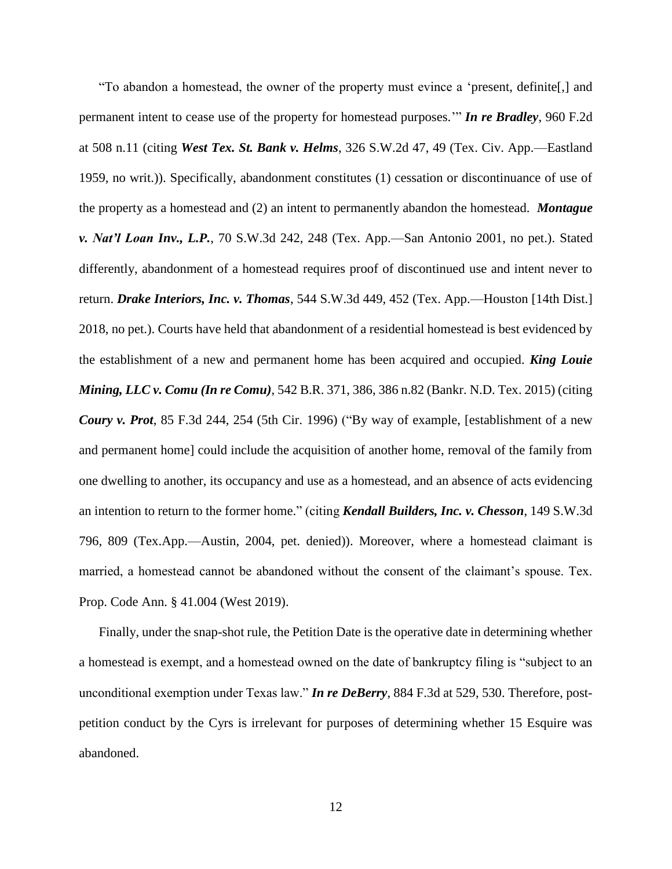"To abandon a homestead, the owner of the property must evince a 'present, definite[,] and permanent intent to cease use of the property for homestead purposes.'" *In re Bradley*, 960 F.2d at 508 n.11 (citing *West Tex. St. Bank v. Helms*, 326 S.W.2d 47, 49 (Tex. Civ. App.—Eastland 1959, no writ.)). Specifically, abandonment constitutes (1) cessation or discontinuance of use of the property as a homestead and (2) an intent to permanently abandon the homestead. *Montague v. Nat'l Loan Inv., L.P.*, 70 S.W.3d 242, 248 (Tex. App.—San Antonio 2001, no pet.). Stated differently, abandonment of a homestead requires proof of discontinued use and intent never to return. *Drake Interiors, Inc. v. Thomas*, 544 S.W.3d 449, 452 (Tex. App.—Houston [14th Dist.] 2018, no pet.). Courts have held that abandonment of a residential homestead is best evidenced by the establishment of a new and permanent home has been acquired and occupied. *King Louie Mining, LLC v. Comu (In re Comu)*, 542 B.R. 371, 386, 386 n.82 (Bankr. N.D. Tex. 2015) (citing *Coury v. Prot*, 85 F.3d 244, 254 (5th Cir. 1996) ("By way of example, [establishment of a new and permanent home] could include the acquisition of another home, removal of the family from one dwelling to another, its occupancy and use as a homestead, and an absence of acts evidencing an intention to return to the former home." (citing *Kendall Builders, Inc. v. Chesson*, 149 S.W.3d 796, 809 (Tex.App.—Austin, 2004, pet. denied)). Moreover, where a homestead claimant is married, a homestead cannot be abandoned without the consent of the claimant's spouse. Tex. Prop. Code Ann. § 41.004 (West 2019).

Finally, under the snap-shot rule, the Petition Date is the operative date in determining whether a homestead is exempt, and a homestead owned on the date of bankruptcy filing is "subject to an unconditional exemption under Texas law." *In re DeBerry*, 884 F.3d at 529, 530. Therefore, postpetition conduct by the Cyrs is irrelevant for purposes of determining whether 15 Esquire was abandoned.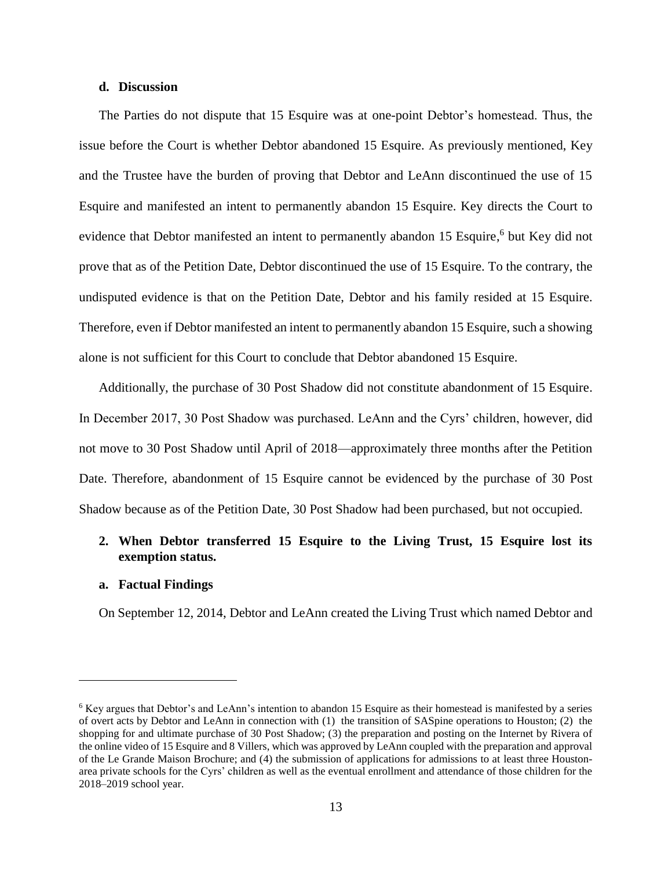## **d. Discussion**

The Parties do not dispute that 15 Esquire was at one-point Debtor's homestead. Thus, the issue before the Court is whether Debtor abandoned 15 Esquire. As previously mentioned, Key and the Trustee have the burden of proving that Debtor and LeAnn discontinued the use of 15 Esquire and manifested an intent to permanently abandon 15 Esquire. Key directs the Court to evidence that Debtor manifested an intent to permanently abandon 15 Esquire,<sup>6</sup> but Key did not prove that as of the Petition Date, Debtor discontinued the use of 15 Esquire. To the contrary, the undisputed evidence is that on the Petition Date, Debtor and his family resided at 15 Esquire. Therefore, even if Debtor manifested an intent to permanently abandon 15 Esquire, such a showing alone is not sufficient for this Court to conclude that Debtor abandoned 15 Esquire.

Additionally, the purchase of 30 Post Shadow did not constitute abandonment of 15 Esquire. In December 2017, 30 Post Shadow was purchased. LeAnn and the Cyrs' children, however, did not move to 30 Post Shadow until April of 2018—approximately three months after the Petition Date. Therefore, abandonment of 15 Esquire cannot be evidenced by the purchase of 30 Post Shadow because as of the Petition Date, 30 Post Shadow had been purchased, but not occupied.

# **2. When Debtor transferred 15 Esquire to the Living Trust, 15 Esquire lost its exemption status.**

## **a. Factual Findings**

 $\overline{a}$ 

On September 12, 2014, Debtor and LeAnn created the Living Trust which named Debtor and

<sup>6</sup> Key argues that Debtor's and LeAnn's intention to abandon 15 Esquire as their homestead is manifested by a series of overt acts by Debtor and LeAnn in connection with (1) the transition of SASpine operations to Houston; (2) the shopping for and ultimate purchase of 30 Post Shadow; (3) the preparation and posting on the Internet by Rivera of the online video of 15 Esquire and 8 Villers, which was approved by LeAnn coupled with the preparation and approval of the Le Grande Maison Brochure; and (4) the submission of applications for admissions to at least three Houstonarea private schools for the Cyrs' children as well as the eventual enrollment and attendance of those children for the 2018–2019 school year.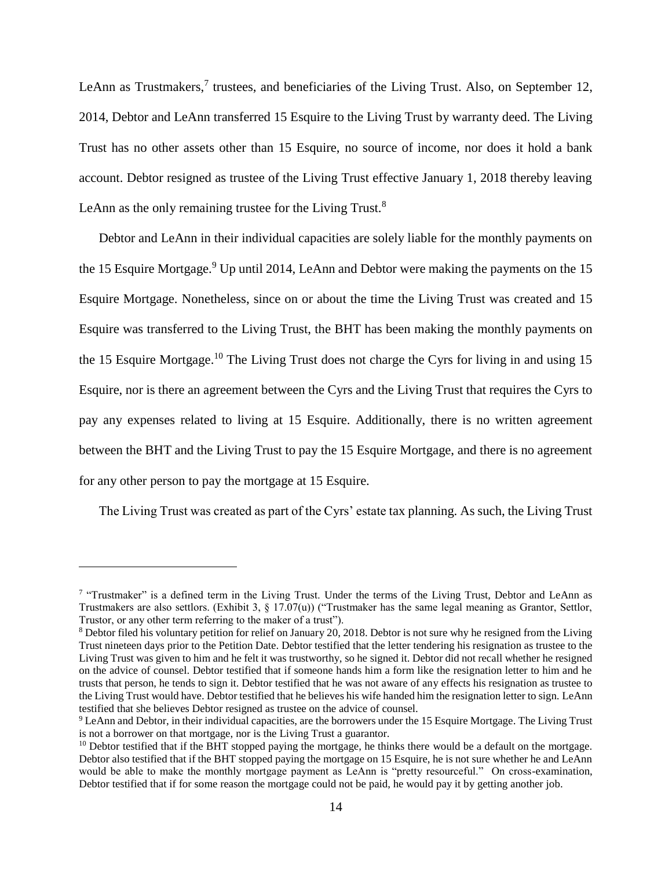LeAnn as Trustmakers, $7$  trustees, and beneficiaries of the Living Trust. Also, on September 12, 2014, Debtor and LeAnn transferred 15 Esquire to the Living Trust by warranty deed. The Living Trust has no other assets other than 15 Esquire, no source of income, nor does it hold a bank account. Debtor resigned as trustee of the Living Trust effective January 1, 2018 thereby leaving LeAnn as the only remaining trustee for the Living Trust. $8$ 

Debtor and LeAnn in their individual capacities are solely liable for the monthly payments on the 15 Esquire Mortgage.<sup>9</sup> Up until 2014, LeAnn and Debtor were making the payments on the 15 Esquire Mortgage. Nonetheless, since on or about the time the Living Trust was created and 15 Esquire was transferred to the Living Trust, the BHT has been making the monthly payments on the 15 Esquire Mortgage.<sup>10</sup> The Living Trust does not charge the Cyrs for living in and using 15 Esquire, nor is there an agreement between the Cyrs and the Living Trust that requires the Cyrs to pay any expenses related to living at 15 Esquire. Additionally, there is no written agreement between the BHT and the Living Trust to pay the 15 Esquire Mortgage, and there is no agreement for any other person to pay the mortgage at 15 Esquire.

The Living Trust was created as part of the Cyrs' estate tax planning. As such, the Living Trust

 $\overline{a}$ 

<sup>&</sup>lt;sup>7</sup> "Trustmaker" is a defined term in the Living Trust. Under the terms of the Living Trust, Debtor and LeAnn as Trustmakers are also settlors. (Exhibit 3,  $\S$  17.07(u)) ("Trustmaker has the same legal meaning as Grantor, Settlor, Trustor, or any other term referring to the maker of a trust").

<sup>8</sup> Debtor filed his voluntary petition for relief on January 20, 2018. Debtor is not sure why he resigned from the Living Trust nineteen days prior to the Petition Date. Debtor testified that the letter tendering his resignation as trustee to the Living Trust was given to him and he felt it was trustworthy, so he signed it. Debtor did not recall whether he resigned on the advice of counsel. Debtor testified that if someone hands him a form like the resignation letter to him and he trusts that person, he tends to sign it. Debtor testified that he was not aware of any effects his resignation as trustee to the Living Trust would have. Debtor testified that he believes his wife handed him the resignation letter to sign. LeAnn testified that she believes Debtor resigned as trustee on the advice of counsel.

<sup>&</sup>lt;sup>9</sup> LeAnn and Debtor, in their individual capacities, are the borrowers under the 15 Esquire Mortgage. The Living Trust is not a borrower on that mortgage, nor is the Living Trust a guarantor.

 $10$  Debtor testified that if the BHT stopped paying the mortgage, he thinks there would be a default on the mortgage. Debtor also testified that if the BHT stopped paying the mortgage on 15 Esquire, he is not sure whether he and LeAnn would be able to make the monthly mortgage payment as LeAnn is "pretty resourceful." On cross-examination, Debtor testified that if for some reason the mortgage could not be paid, he would pay it by getting another job.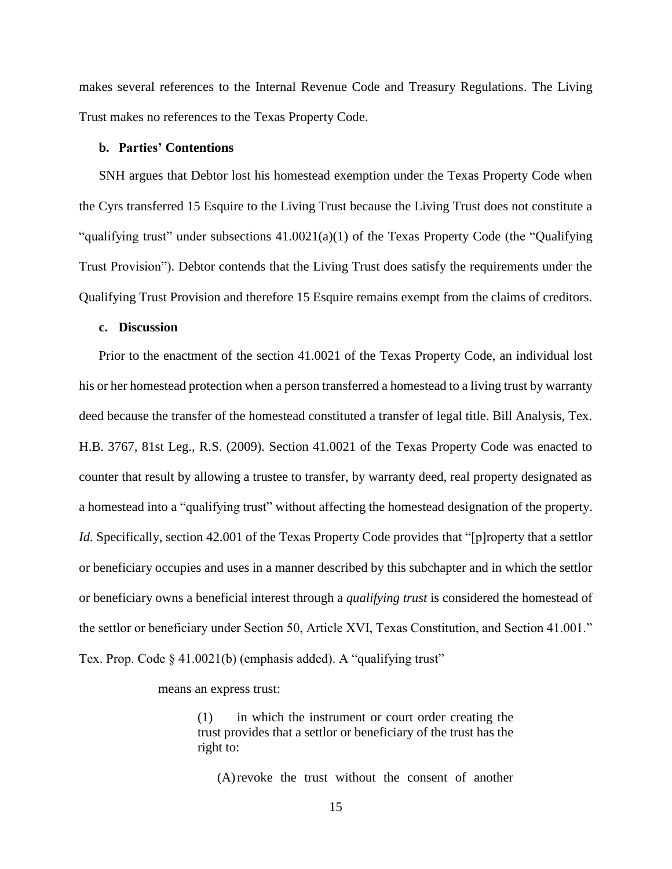makes several references to the Internal Revenue Code and Treasury Regulations. The Living Trust makes no references to the Texas Property Code.

### **b. Parties' Contentions**

SNH argues that Debtor lost his homestead exemption under the Texas Property Code when the Cyrs transferred 15 Esquire to the Living Trust because the Living Trust does not constitute a "qualifying trust" under subsections  $41.0021(a)(1)$  of the Texas Property Code (the "Qualifying") Trust Provision"). Debtor contends that the Living Trust does satisfy the requirements under the Qualifying Trust Provision and therefore 15 Esquire remains exempt from the claims of creditors.

## **c. Discussion**

Prior to the enactment of the section 41.0021 of the Texas Property Code, an individual lost his or her homestead protection when a person transferred a homestead to a living trust by warranty deed because the transfer of the homestead constituted a transfer of legal title. Bill Analysis, Tex. H.B. 3767, 81st Leg., R.S. (2009). Section 41.0021 of the Texas Property Code was enacted to counter that result by allowing a trustee to transfer, by warranty deed, real property designated as a homestead into a "qualifying trust" without affecting the homestead designation of the property. *Id.* Specifically, section 42.001 of the Texas Property Code provides that "[p]roperty that a settlor or beneficiary occupies and uses in a manner described by this subchapter and in which the settlor or beneficiary owns a beneficial interest through a *qualifying trust* is considered the homestead of the settlor or beneficiary under Section 50, Article XVI, Texas Constitution, and Section 41.001." Tex. Prop. Code § 41.0021(b) (emphasis added). A "qualifying trust"

means an express trust:

(1) in which the instrument or court order creating the trust provides that a settlor or beneficiary of the trust has the right to:

(A)revoke the trust without the consent of another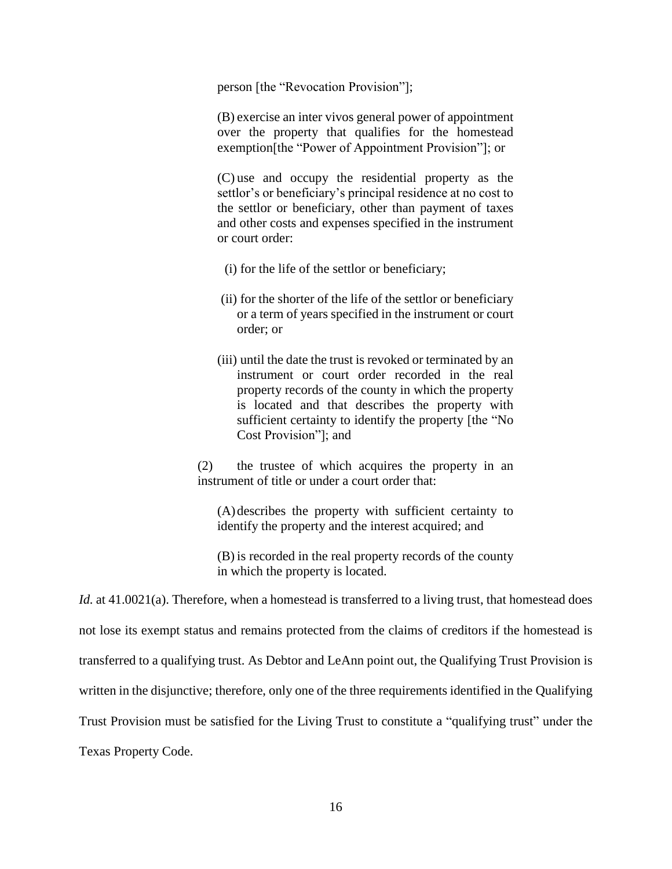person [the "Revocation Provision"];

(B) exercise an inter vivos general power of appointment over the property that qualifies for the homestead exemption[the "Power of Appointment Provision"]; or

(C) use and occupy the residential property as the settlor's or beneficiary's principal residence at no cost to the settlor or beneficiary, other than payment of taxes and other costs and expenses specified in the instrument or court order:

- (i) for the life of the settlor or beneficiary;
- (ii) for the shorter of the life of the settlor or beneficiary or a term of years specified in the instrument or court order; or
- (iii) until the date the trust is revoked or terminated by an instrument or court order recorded in the real property records of the county in which the property is located and that describes the property with sufficient certainty to identify the property [the "No Cost Provision"]; and

(2) the trustee of which acquires the property in an instrument of title or under a court order that:

(A)describes the property with sufficient certainty to identify the property and the interest acquired; and

(B) is recorded in the real property records of the county in which the property is located.

*Id.* at 41.0021(a). Therefore, when a homestead is transferred to a living trust, that homestead does not lose its exempt status and remains protected from the claims of creditors if the homestead is transferred to a qualifying trust. As Debtor and LeAnn point out, the Qualifying Trust Provision is written in the disjunctive; therefore, only one of the three requirements identified in the Qualifying Trust Provision must be satisfied for the Living Trust to constitute a "qualifying trust" under the Texas Property Code.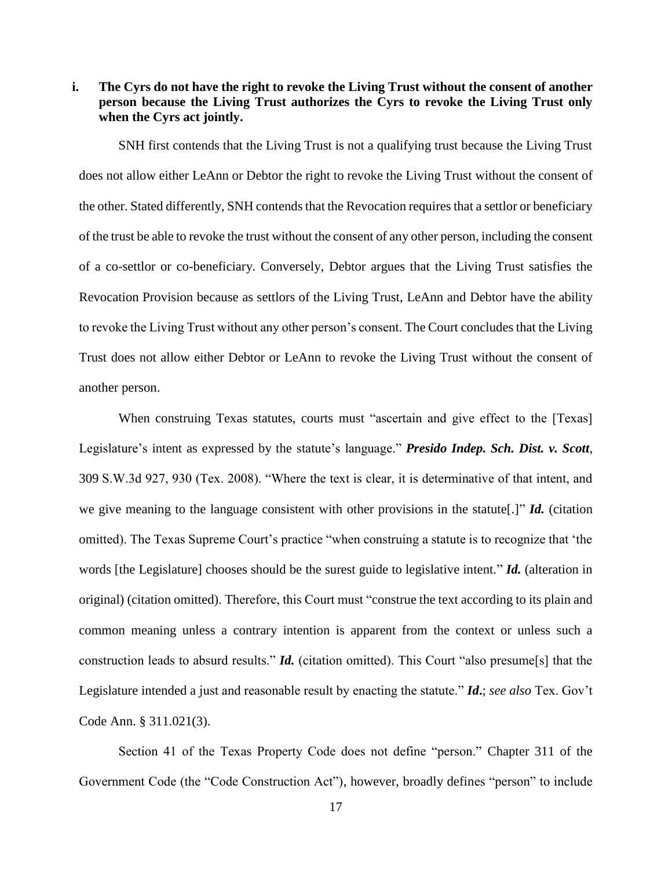# **i. The Cyrs do not have the right to revoke the Living Trust without the consent of another person because the Living Trust authorizes the Cyrs to revoke the Living Trust only when the Cyrs act jointly.**

SNH first contends that the Living Trust is not a qualifying trust because the Living Trust does not allow either LeAnn or Debtor the right to revoke the Living Trust without the consent of the other. Stated differently, SNH contends that the Revocation requires that a settlor or beneficiary of the trust be able to revoke the trust without the consent of any other person, including the consent of a co-settlor or co-beneficiary. Conversely, Debtor argues that the Living Trust satisfies the Revocation Provision because as settlors of the Living Trust, LeAnn and Debtor have the ability to revoke the Living Trust without any other person's consent. The Court concludes that the Living Trust does not allow either Debtor or LeAnn to revoke the Living Trust without the consent of another person.

When construing Texas statutes, courts must "ascertain and give effect to the [Texas] Legislature's intent as expressed by the statute's language." *Presido Indep. Sch. Dist. v. Scott*, 309 S.W.3d 927, 930 (Tex. 2008). "Where the text is clear, it is determinative of that intent, and we give meaning to the language consistent with other provisions in the statute[.]" *Id.* (citation omitted). The Texas Supreme Court's practice "when construing a statute is to recognize that 'the words [the Legislature] chooses should be the surest guide to legislative intent." *Id.* (alteration in original) (citation omitted). Therefore, this Court must "construe the text according to its plain and common meaning unless a contrary intention is apparent from the context or unless such a construction leads to absurd results." *Id.* (citation omitted). This Court "also presume[s] that the Legislature intended a just and reasonable result by enacting the statute." *Id***.**; *see also* Tex. Gov't Code Ann. § 311.021(3).

Section 41 of the Texas Property Code does not define "person." Chapter 311 of the Government Code (the "Code Construction Act"), however, broadly defines "person" to include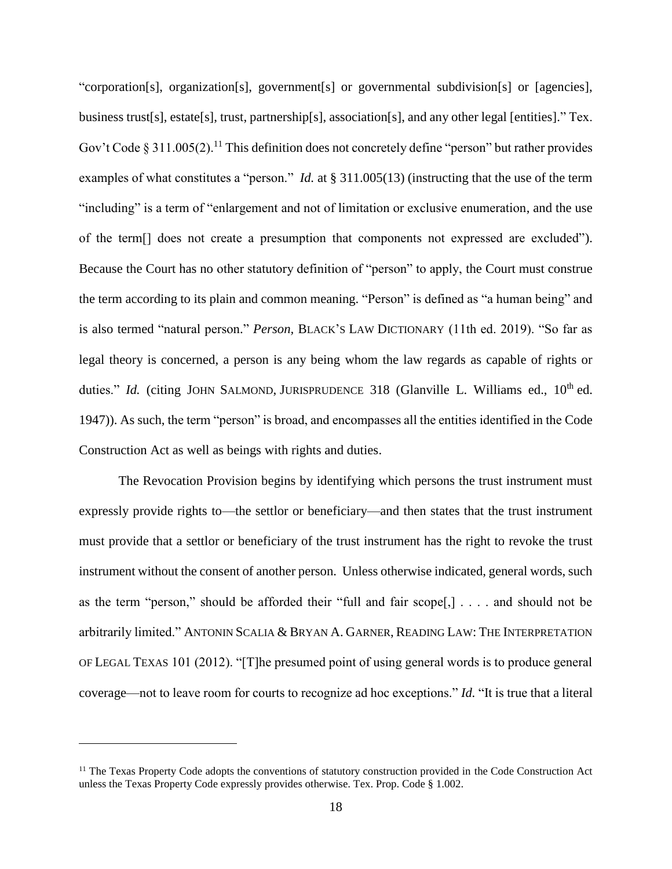"corporation[s], organization[s], government[s] or governmental subdivision[s] or [agencies], business trust[s], estate[s], trust, partnership[s], association[s], and any other legal [entities]." Tex. Gov't Code § 311.005(2).<sup>11</sup> This definition does not concretely define "person" but rather provides examples of what constitutes a "person." *Id.* at § 311.005(13) (instructing that the use of the term "including" is a term of "enlargement and not of limitation or exclusive enumeration, and the use of the term[] does not create a presumption that components not expressed are excluded"). Because the Court has no other statutory definition of "person" to apply, the Court must construe the term according to its plain and common meaning. "Person" is defined as "a human being" and is also termed "natural person." *Person,* BLACK'S LAW DICTIONARY (11th ed. 2019). "So far as legal theory is concerned, a person is any being whom the law regards as capable of rights or duties." *Id.* (citing JOHN SALMOND, JURISPRUDENCE 318 (Glanville L. Williams ed., 10<sup>th</sup> ed. 1947)). As such, the term "person" is broad, and encompasses all the entities identified in the Code Construction Act as well as beings with rights and duties.

The Revocation Provision begins by identifying which persons the trust instrument must expressly provide rights to—the settlor or beneficiary—and then states that the trust instrument must provide that a settlor or beneficiary of the trust instrument has the right to revoke the trust instrument without the consent of another person. Unless otherwise indicated, general words, such as the term "person," should be afforded their "full and fair scope[,] . . . . and should not be arbitrarily limited." ANTONIN SCALIA & BRYAN A. GARNER, READING LAW: THE INTERPRETATION OF LEGAL TEXAS 101 (2012). "[T]he presumed point of using general words is to produce general coverage—not to leave room for courts to recognize ad hoc exceptions." *Id.* "It is true that a literal

 $\overline{a}$ 

<sup>&</sup>lt;sup>11</sup> The Texas Property Code adopts the conventions of statutory construction provided in the Code Construction Act unless the Texas Property Code expressly provides otherwise. Tex. Prop. Code § 1.002.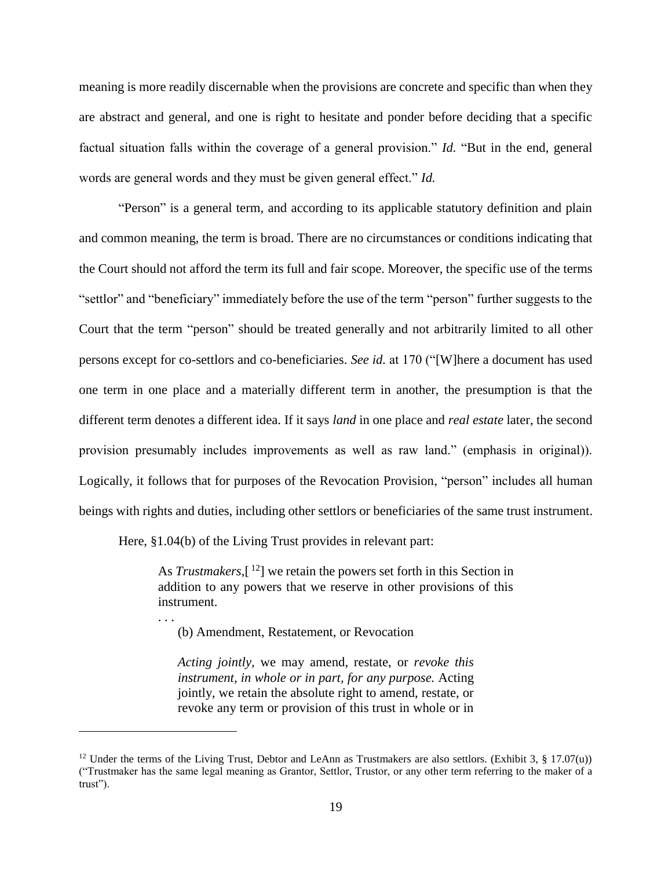meaning is more readily discernable when the provisions are concrete and specific than when they are abstract and general, and one is right to hesitate and ponder before deciding that a specific factual situation falls within the coverage of a general provision." *Id.* "But in the end, general words are general words and they must be given general effect." *Id.* 

"Person" is a general term, and according to its applicable statutory definition and plain and common meaning, the term is broad. There are no circumstances or conditions indicating that the Court should not afford the term its full and fair scope. Moreover, the specific use of the terms "settlor" and "beneficiary" immediately before the use of the term "person" further suggests to the Court that the term "person" should be treated generally and not arbitrarily limited to all other persons except for co-settlors and co-beneficiaries. *See id.* at 170 ("[W]here a document has used one term in one place and a materially different term in another, the presumption is that the different term denotes a different idea. If it says *land* in one place and *real estate* later, the second provision presumably includes improvements as well as raw land." (emphasis in original)). Logically, it follows that for purposes of the Revocation Provision, "person" includes all human beings with rights and duties, including other settlors or beneficiaries of the same trust instrument.

Here, §1.04(b) of the Living Trust provides in relevant part:

. . .

 $\overline{a}$ 

As *Trustmakers*,[ <sup>12</sup>] we retain the powers set forth in this Section in addition to any powers that we reserve in other provisions of this instrument.

(b) Amendment, Restatement, or Revocation

*Acting jointly,* we may amend, restate, or *revoke this instrument, in whole or in part, for any purpose.* Acting jointly, we retain the absolute right to amend, restate, or revoke any term or provision of this trust in whole or in

<sup>&</sup>lt;sup>12</sup> Under the terms of the Living Trust, Debtor and LeAnn as Trustmakers are also settlors. (Exhibit 3, § 17.07(u)) ("Trustmaker has the same legal meaning as Grantor, Settlor, Trustor, or any other term referring to the maker of a trust").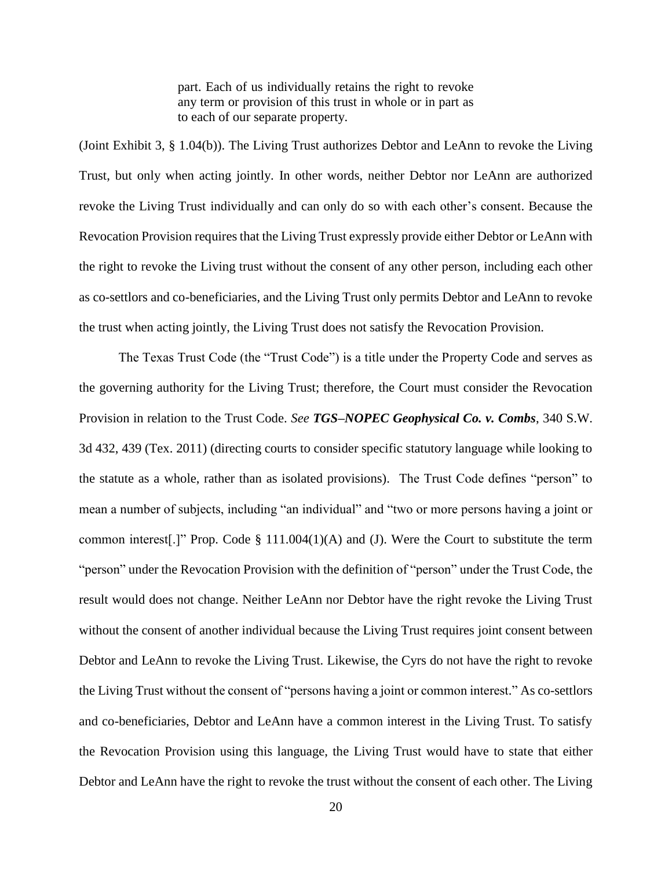part. Each of us individually retains the right to revoke any term or provision of this trust in whole or in part as to each of our separate property.

(Joint Exhibit 3, § 1.04(b)). The Living Trust authorizes Debtor and LeAnn to revoke the Living Trust, but only when acting jointly. In other words, neither Debtor nor LeAnn are authorized revoke the Living Trust individually and can only do so with each other's consent. Because the Revocation Provision requires that the Living Trust expressly provide either Debtor or LeAnn with the right to revoke the Living trust without the consent of any other person, including each other as co-settlors and co-beneficiaries, and the Living Trust only permits Debtor and LeAnn to revoke the trust when acting jointly, the Living Trust does not satisfy the Revocation Provision.

The Texas Trust Code (the "Trust Code") is a title under the Property Code and serves as the governing authority for the Living Trust; therefore, the Court must consider the Revocation Provision in relation to the Trust Code. *See TGS–NOPEC Geophysical Co. v. Combs*, 340 S.W. 3d 432, 439 (Tex. 2011) (directing courts to consider specific statutory language while looking to the statute as a whole, rather than as isolated provisions). The Trust Code defines "person" to mean a number of subjects, including "an individual" and "two or more persons having a joint or common interest.]" Prop. Code  $\S$  111.004(1)(A) and (J). Were the Court to substitute the term "person" under the Revocation Provision with the definition of "person" under the Trust Code, the result would does not change. Neither LeAnn nor Debtor have the right revoke the Living Trust without the consent of another individual because the Living Trust requires joint consent between Debtor and LeAnn to revoke the Living Trust. Likewise, the Cyrs do not have the right to revoke the Living Trust without the consent of "persons having a joint or common interest." As co-settlors and co-beneficiaries, Debtor and LeAnn have a common interest in the Living Trust. To satisfy the Revocation Provision using this language, the Living Trust would have to state that either Debtor and LeAnn have the right to revoke the trust without the consent of each other. The Living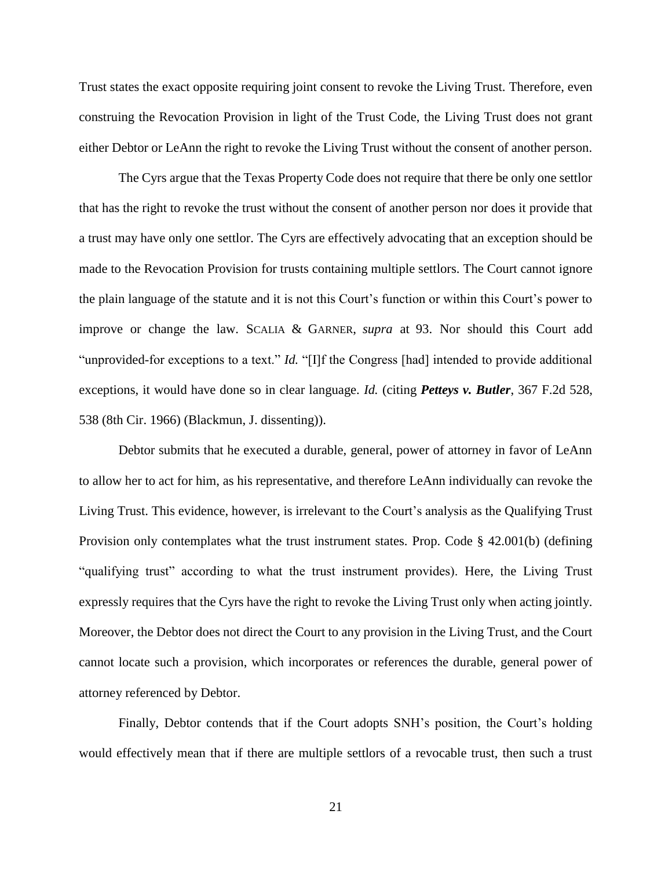Trust states the exact opposite requiring joint consent to revoke the Living Trust. Therefore, even construing the Revocation Provision in light of the Trust Code, the Living Trust does not grant either Debtor or LeAnn the right to revoke the Living Trust without the consent of another person.

The Cyrs argue that the Texas Property Code does not require that there be only one settlor that has the right to revoke the trust without the consent of another person nor does it provide that a trust may have only one settlor. The Cyrs are effectively advocating that an exception should be made to the Revocation Provision for trusts containing multiple settlors. The Court cannot ignore the plain language of the statute and it is not this Court's function or within this Court's power to improve or change the law. SCALIA & GARNER, *supra* at 93. Nor should this Court add "unprovided-for exceptions to a text." *Id.* "[I]f the Congress [had] intended to provide additional exceptions, it would have done so in clear language. *Id.* (citing *Petteys v. Butler*, 367 F.2d 528, 538 (8th Cir. 1966) (Blackmun, J. dissenting)).

Debtor submits that he executed a durable, general, power of attorney in favor of LeAnn to allow her to act for him, as his representative, and therefore LeAnn individually can revoke the Living Trust. This evidence, however, is irrelevant to the Court's analysis as the Qualifying Trust Provision only contemplates what the trust instrument states. Prop. Code § 42.001(b) (defining "qualifying trust" according to what the trust instrument provides). Here, the Living Trust expressly requires that the Cyrs have the right to revoke the Living Trust only when acting jointly. Moreover, the Debtor does not direct the Court to any provision in the Living Trust, and the Court cannot locate such a provision, which incorporates or references the durable, general power of attorney referenced by Debtor.

Finally, Debtor contends that if the Court adopts SNH's position, the Court's holding would effectively mean that if there are multiple settlors of a revocable trust, then such a trust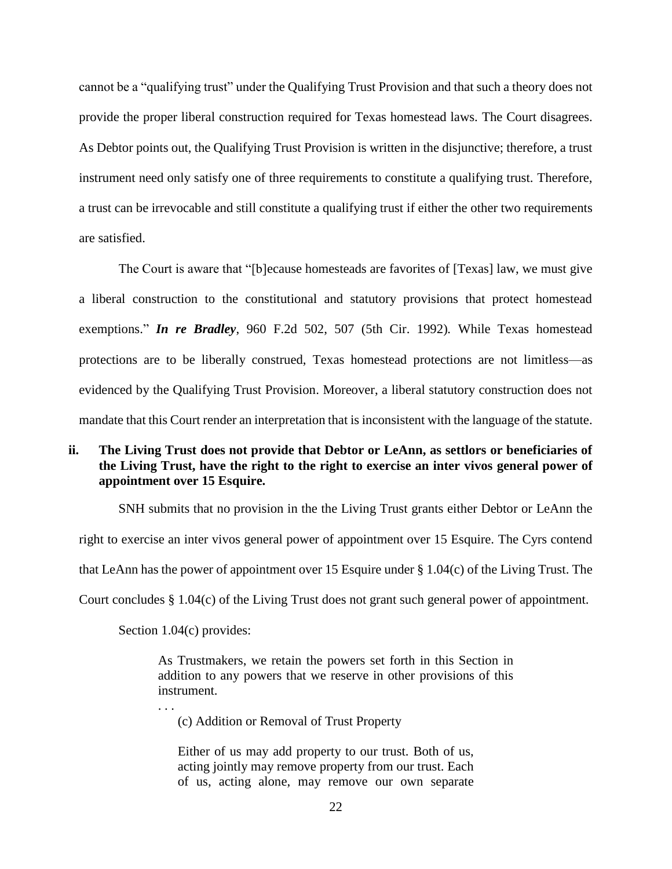cannot be a "qualifying trust" under the Qualifying Trust Provision and that such a theory does not provide the proper liberal construction required for Texas homestead laws. The Court disagrees. As Debtor points out, the Qualifying Trust Provision is written in the disjunctive; therefore, a trust instrument need only satisfy one of three requirements to constitute a qualifying trust. Therefore, a trust can be irrevocable and still constitute a qualifying trust if either the other two requirements are satisfied.

The Court is aware that "[b]ecause homesteads are favorites of [Texas] law, we must give a liberal construction to the constitutional and statutory provisions that protect homestead exemptions." *In re Bradley*, 960 F.2d 502, 507 (5th Cir. 1992)*.* While Texas homestead protections are to be liberally construed, Texas homestead protections are not limitless—as evidenced by the Qualifying Trust Provision. Moreover, a liberal statutory construction does not mandate that this Court render an interpretation that is inconsistent with the language of the statute.

# **ii. The Living Trust does not provide that Debtor or LeAnn, as settlors or beneficiaries of the Living Trust, have the right to the right to exercise an inter vivos general power of appointment over 15 Esquire.**

SNH submits that no provision in the the Living Trust grants either Debtor or LeAnn the right to exercise an inter vivos general power of appointment over 15 Esquire. The Cyrs contend that LeAnn has the power of appointment over 15 Esquire under § 1.04(c) of the Living Trust. The Court concludes § 1.04(c) of the Living Trust does not grant such general power of appointment.

Section 1.04(c) provides:

. . .

As Trustmakers, we retain the powers set forth in this Section in addition to any powers that we reserve in other provisions of this instrument.

(c) Addition or Removal of Trust Property

Either of us may add property to our trust. Both of us, acting jointly may remove property from our trust. Each of us, acting alone, may remove our own separate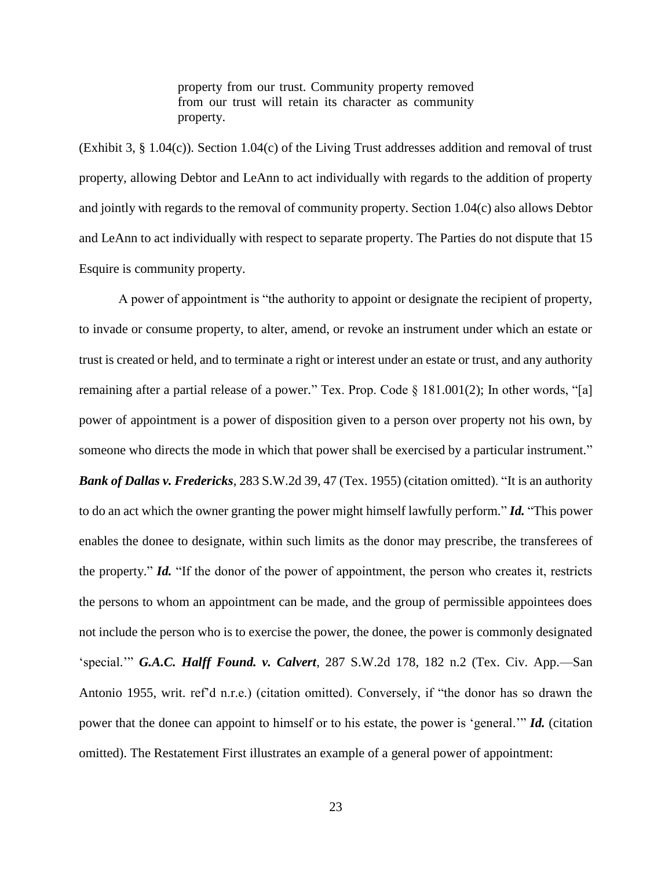property from our trust. Community property removed from our trust will retain its character as community property.

(Exhibit 3, § 1.04(c)). Section 1.04(c) of the Living Trust addresses addition and removal of trust property, allowing Debtor and LeAnn to act individually with regards to the addition of property and jointly with regards to the removal of community property. Section 1.04(c) also allows Debtor and LeAnn to act individually with respect to separate property. The Parties do not dispute that 15 Esquire is community property.

A power of appointment is "the authority to appoint or designate the recipient of property, to invade or consume property, to alter, amend, or revoke an instrument under which an estate or trust is created or held, and to terminate a right or interest under an estate or trust, and any authority remaining after a partial release of a power." Tex. Prop. Code § 181.001(2); In other words, "[a] power of appointment is a power of disposition given to a person over property not his own, by someone who directs the mode in which that power shall be exercised by a particular instrument." *Bank of Dallas v. Fredericks*, 283 S.W.2d 39, 47 (Tex. 1955) (citation omitted). "It is an authority to do an act which the owner granting the power might himself lawfully perform." *Id.* "This power enables the donee to designate, within such limits as the donor may prescribe, the transferees of the property." *Id.* "If the donor of the power of appointment, the person who creates it, restricts the persons to whom an appointment can be made, and the group of permissible appointees does not include the person who is to exercise the power, the donee, the power is commonly designated 'special.'" *G.A.C. Halff Found. v. Calvert*, 287 S.W.2d 178, 182 n.2 (Tex. Civ. App.—San Antonio 1955, writ. ref'd n.r.e.) (citation omitted). Conversely, if "the donor has so drawn the power that the donee can appoint to himself or to his estate, the power is 'general.'" *Id.* (citation omitted). The Restatement First illustrates an example of a general power of appointment: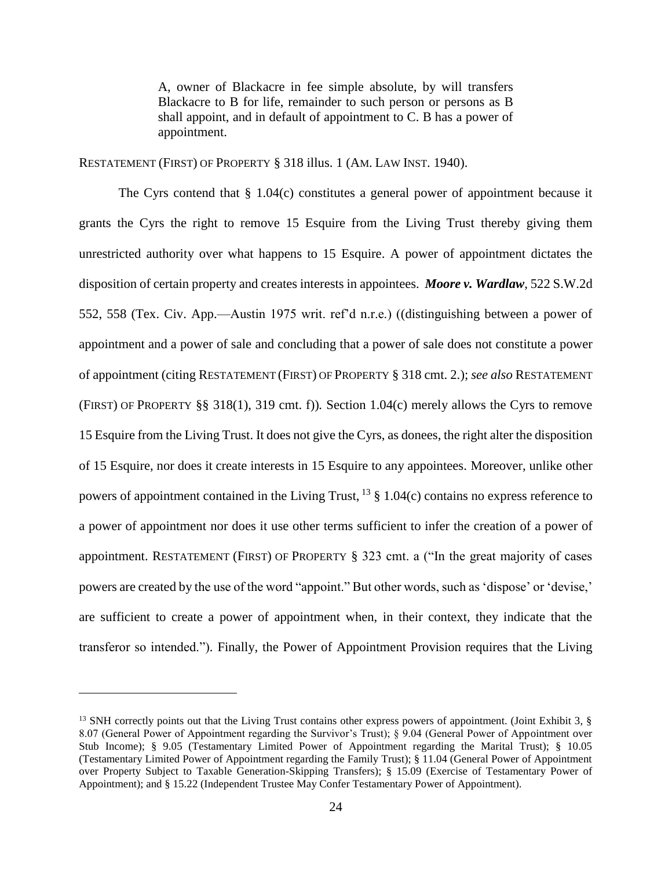A, owner of Blackacre in fee simple absolute, by will transfers Blackacre to B for life, remainder to such person or persons as B shall appoint, and in default of appointment to C. B has a power of appointment.

RESTATEMENT (FIRST) OF PROPERTY § 318 illus. 1 (AM. LAW INST. 1940).

The Cyrs contend that  $\S 1.04(c)$  constitutes a general power of appointment because it grants the Cyrs the right to remove 15 Esquire from the Living Trust thereby giving them unrestricted authority over what happens to 15 Esquire. A power of appointment dictates the disposition of certain property and creates interests in appointees. *Moore v. Wardlaw*, 522 S.W.2d 552, 558 (Tex. Civ. App.—Austin 1975 writ. ref'd n.r.e.) ((distinguishing between a power of appointment and a power of sale and concluding that a power of sale does not constitute a power of appointment (citing RESTATEMENT (FIRST) OF PROPERTY § 318 cmt. 2.); *see also* RESTATEMENT (FIRST) OF PROPERTY §§ 318(1), 319 cmt. f))*.* Section 1.04(c) merely allows the Cyrs to remove 15 Esquire from the Living Trust. It does not give the Cyrs, as donees, the right alter the disposition of 15 Esquire, nor does it create interests in 15 Esquire to any appointees. Moreover, unlike other powers of appointment contained in the Living Trust,  $^{13}$  § 1.04(c) contains no express reference to a power of appointment nor does it use other terms sufficient to infer the creation of a power of appointment. RESTATEMENT (FIRST) OF PROPERTY § 323 cmt. a ("In the great majority of cases powers are created by the use of the word "appoint." But other words, such as 'dispose' or 'devise,' are sufficient to create a power of appointment when, in their context, they indicate that the transferor so intended."). Finally, the Power of Appointment Provision requires that the Living

 $\overline{a}$ 

<sup>&</sup>lt;sup>13</sup> SNH correctly points out that the Living Trust contains other express powers of appointment. (Joint Exhibit 3, § 8.07 (General Power of Appointment regarding the Survivor's Trust); § 9.04 (General Power of Appointment over Stub Income); § 9.05 (Testamentary Limited Power of Appointment regarding the Marital Trust); § 10.05 (Testamentary Limited Power of Appointment regarding the Family Trust); § 11.04 (General Power of Appointment over Property Subject to Taxable Generation-Skipping Transfers); § 15.09 (Exercise of Testamentary Power of Appointment); and § 15.22 (Independent Trustee May Confer Testamentary Power of Appointment).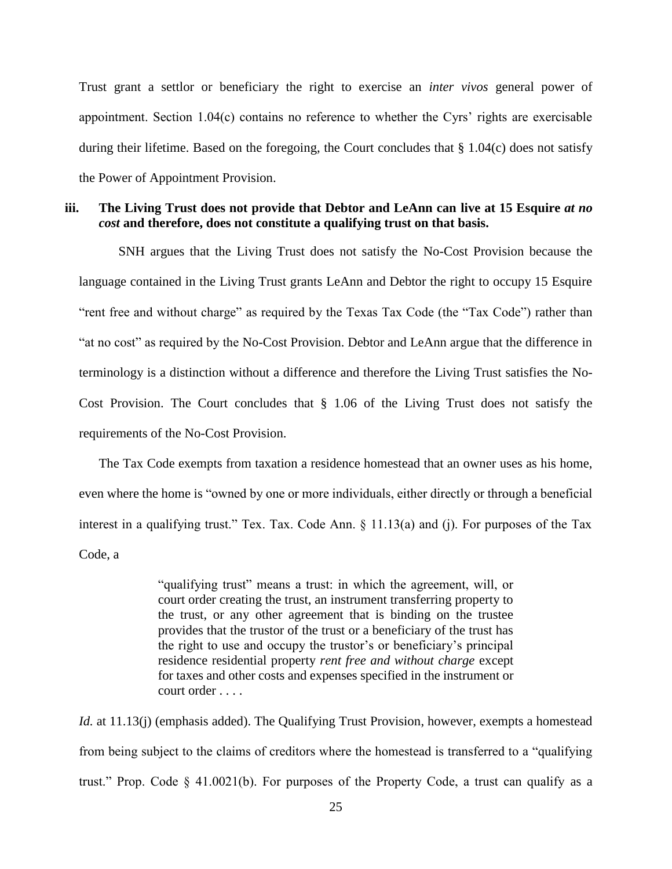Trust grant a settlor or beneficiary the right to exercise an *inter vivos* general power of appointment. Section 1.04(c) contains no reference to whether the Cyrs' rights are exercisable during their lifetime. Based on the foregoing, the Court concludes that § 1.04(c) does not satisfy the Power of Appointment Provision.

# **iii. The Living Trust does not provide that Debtor and LeAnn can live at 15 Esquire** *at no cost* **and therefore, does not constitute a qualifying trust on that basis.**

SNH argues that the Living Trust does not satisfy the No-Cost Provision because the language contained in the Living Trust grants LeAnn and Debtor the right to occupy 15 Esquire "rent free and without charge" as required by the Texas Tax Code (the "Tax Code") rather than "at no cost" as required by the No-Cost Provision. Debtor and LeAnn argue that the difference in terminology is a distinction without a difference and therefore the Living Trust satisfies the No-Cost Provision. The Court concludes that § 1.06 of the Living Trust does not satisfy the requirements of the No-Cost Provision.

The Tax Code exempts from taxation a residence homestead that an owner uses as his home, even where the home is "owned by one or more individuals, either directly or through a beneficial interest in a qualifying trust." Tex. Tax. Code Ann. § 11.13(a) and (j). For purposes of the Tax Code, a

> "qualifying trust" means a trust: in which the agreement, will, or court order creating the trust, an instrument transferring property to the trust, or any other agreement that is binding on the trustee provides that the trustor of the trust or a beneficiary of the trust has the right to use and occupy the trustor's or beneficiary's principal residence residential property *rent free and without charge* except for taxes and other costs and expenses specified in the instrument or court order . . . .

*Id.* at 11.13(j) (emphasis added). The Qualifying Trust Provision, however, exempts a homestead from being subject to the claims of creditors where the homestead is transferred to a "qualifying trust." Prop. Code  $\S$  41.0021(b). For purposes of the Property Code, a trust can qualify as a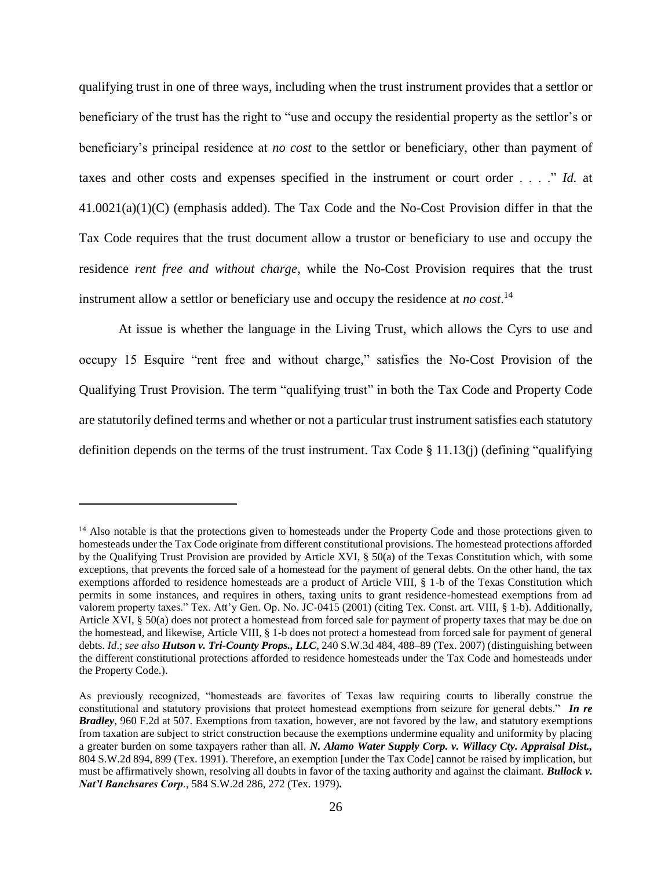qualifying trust in one of three ways, including when the trust instrument provides that a settlor or beneficiary of the trust has the right to "use and occupy the residential property as the settlor's or beneficiary's principal residence at *no cost* to the settlor or beneficiary, other than payment of taxes and other costs and expenses specified in the instrument or court order . . . ." *Id.* at 41.0021(a)(1)(C) (emphasis added). The Tax Code and the No-Cost Provision differ in that the Tax Code requires that the trust document allow a trustor or beneficiary to use and occupy the residence *rent free and without charge*, while the No-Cost Provision requires that the trust instrument allow a settlor or beneficiary use and occupy the residence at *no cost*. 14

At issue is whether the language in the Living Trust, which allows the Cyrs to use and occupy 15 Esquire "rent free and without charge," satisfies the No-Cost Provision of the Qualifying Trust Provision. The term "qualifying trust" in both the Tax Code and Property Code are statutorily defined terms and whether or not a particular trust instrument satisfies each statutory definition depends on the terms of the trust instrument. Tax Code § 11.13(j) (defining "qualifying

 $\overline{a}$ 

<sup>&</sup>lt;sup>14</sup> Also notable is that the protections given to homesteads under the Property Code and those protections given to homesteads under the Tax Code originate from different constitutional provisions. The homestead protections afforded by the Qualifying Trust Provision are provided by Article XVI, § 50(a) of the Texas Constitution which, with some exceptions, that prevents the forced sale of a homestead for the payment of general debts. On the other hand, the tax exemptions afforded to residence homesteads are a product of Article VIII, § 1-b of the Texas Constitution which permits in some instances, and requires in others, taxing units to grant residence-homestead exemptions from ad valorem property taxes." Tex. Att'y Gen. Op. No. JC-0415 (2001) (citing Tex. Const. art. VIII, § 1-b). Additionally, Article XVI, § 50(a) does not protect a homestead from forced sale for payment of property taxes that may be due on the homestead, and likewise, Article VIII, § 1-b does not protect a homestead from forced sale for payment of general debts. *Id*.; *see also Hutson v. Tri-County Props., LLC*, 240 S.W.3d 484, 488–89 (Tex. 2007) (distinguishing between the different constitutional protections afforded to residence homesteads under the Tax Code and homesteads under the Property Code.).

As previously recognized, "homesteads are favorites of Texas law requiring courts to liberally construe the constitutional and statutory provisions that protect homestead exemptions from seizure for general debts." *In re Bradley*, 960 F.2d at 507. Exemptions from taxation, however, are not favored by the law, and statutory exemptions from taxation are subject to strict construction because the exemptions undermine equality and uniformity by placing a greater burden on some taxpayers rather than all. *N. Alamo Water Supply Corp. v. Willacy Cty. Appraisal Dist.,* 804 S.W.2d 894, 899 (Tex. 1991). Therefore, an exemption [under the Tax Code] cannot be raised by implication, but must be affirmatively shown, resolving all doubts in favor of the taxing authority and against the claimant. *Bullock v. Nat'l Banchsares Corp*., 584 S.W.2d 286, 272 (Tex. 1979)*.*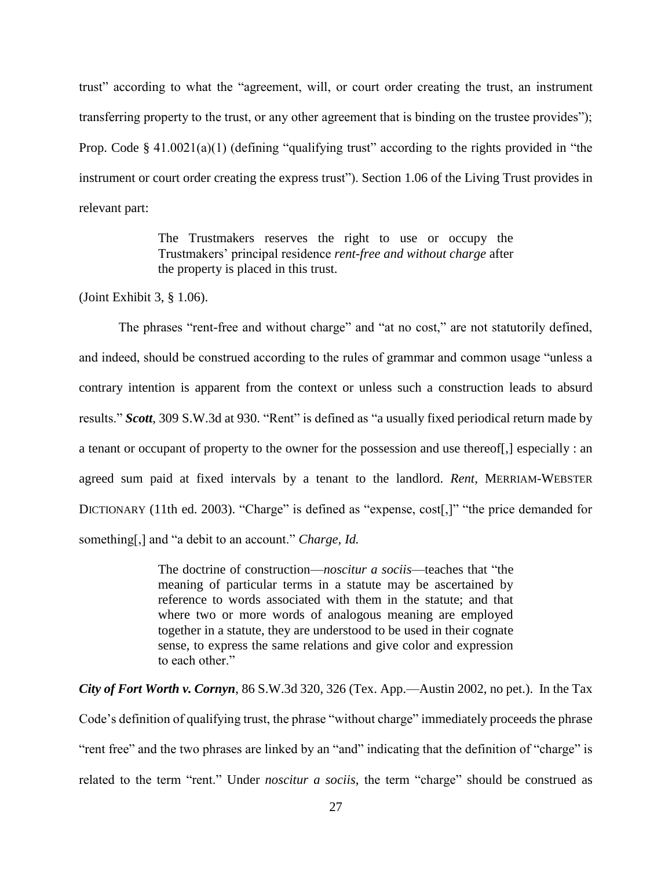trust" according to what the "agreement, will, or court order creating the trust, an instrument transferring property to the trust, or any other agreement that is binding on the trustee provides"); Prop. Code § 41.0021(a)(1) (defining "qualifying trust" according to the rights provided in "the instrument or court order creating the express trust"). Section 1.06 of the Living Trust provides in relevant part:

> The Trustmakers reserves the right to use or occupy the Trustmakers' principal residence *rent-free and without charge* after the property is placed in this trust.

(Joint Exhibit 3, § 1.06).

The phrases "rent-free and without charge" and "at no cost," are not statutorily defined, and indeed, should be construed according to the rules of grammar and common usage "unless a contrary intention is apparent from the context or unless such a construction leads to absurd results." *Scott*, 309 S.W.3d at 930. "Rent" is defined as "a usually fixed periodical return made by a tenant or occupant of property to the owner for the possession and use thereof[,] especially : an agreed sum paid at fixed intervals by a tenant to the landlord. *Rent*, MERRIAM-WEBSTER DICTIONARY (11th ed. 2003). "Charge" is defined as "expense, cost[,]" "the price demanded for something[,] and "a debit to an account." *Charge, Id.*

> The doctrine of construction—*noscitur a sociis*—teaches that "the meaning of particular terms in a statute may be ascertained by reference to words associated with them in the statute; and that where two or more words of analogous meaning are employed together in a statute, they are understood to be used in their cognate sense, to express the same relations and give color and expression to each other."

*City of Fort Worth v. Cornyn*, 86 S.W.3d 320, 326 (Tex. App.—Austin 2002, no pet.). In the Tax Code's definition of qualifying trust, the phrase "without charge" immediately proceeds the phrase "rent free" and the two phrases are linked by an "and" indicating that the definition of "charge" is related to the term "rent." Under *noscitur a sociis*, the term "charge" should be construed as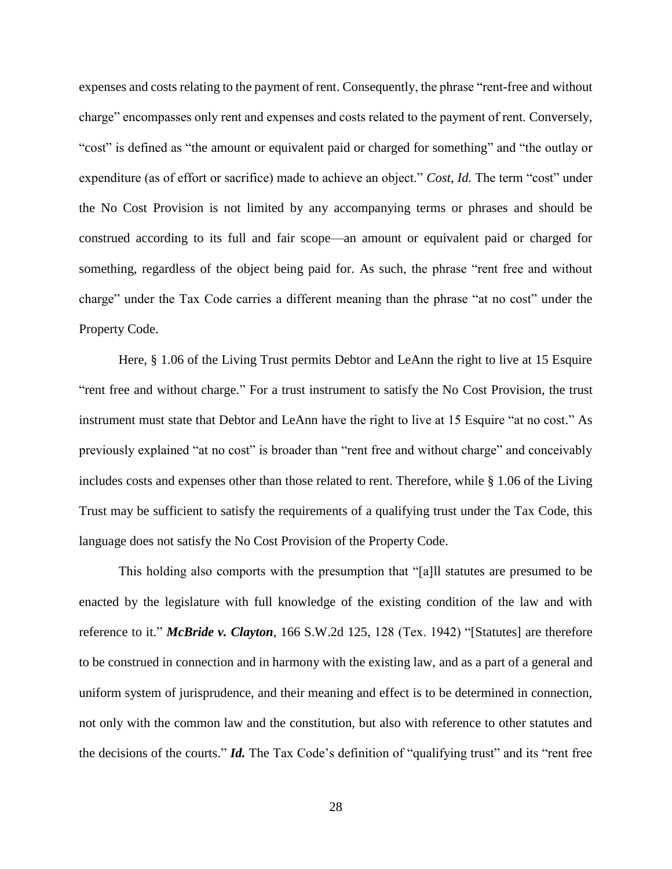expenses and costs relating to the payment of rent. Consequently, the phrase "rent-free and without charge" encompasses only rent and expenses and costs related to the payment of rent. Conversely, "cost" is defined as "the amount or equivalent paid or charged for something" and "the outlay or expenditure (as of effort or sacrifice) made to achieve an object." *Cost*, *Id.* The term "cost" under the No Cost Provision is not limited by any accompanying terms or phrases and should be construed according to its full and fair scope—an amount or equivalent paid or charged for something, regardless of the object being paid for. As such, the phrase "rent free and without charge" under the Tax Code carries a different meaning than the phrase "at no cost" under the Property Code.

Here, § 1.06 of the Living Trust permits Debtor and LeAnn the right to live at 15 Esquire "rent free and without charge." For a trust instrument to satisfy the No Cost Provision, the trust instrument must state that Debtor and LeAnn have the right to live at 15 Esquire "at no cost." As previously explained "at no cost" is broader than "rent free and without charge" and conceivably includes costs and expenses other than those related to rent. Therefore, while § 1.06 of the Living Trust may be sufficient to satisfy the requirements of a qualifying trust under the Tax Code, this language does not satisfy the No Cost Provision of the Property Code.

This holding also comports with the presumption that "[a]ll statutes are presumed to be enacted by the legislature with full knowledge of the existing condition of the law and with reference to it." *McBride v. Clayton*, 166 S.W.2d 125, 128 (Tex. 1942) "[Statutes] are therefore to be construed in connection and in harmony with the existing law, and as a part of a general and uniform system of jurisprudence, and their meaning and effect is to be determined in connection, not only with the common law and the constitution, but also with reference to other statutes and the decisions of the courts." *Id.* The Tax Code's definition of "qualifying trust" and its "rent free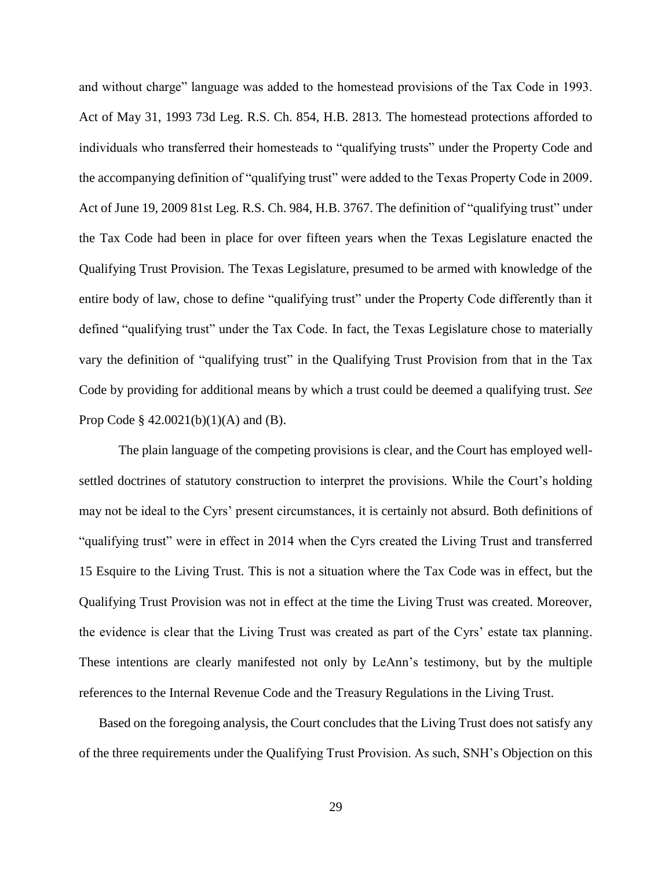and without charge" language was added to the homestead provisions of the Tax Code in 1993. Act of May 31, 1993 73d Leg. R.S. Ch. 854, H.B. 2813. The homestead protections afforded to individuals who transferred their homesteads to "qualifying trusts" under the Property Code and the accompanying definition of "qualifying trust" were added to the Texas Property Code in 2009. Act of June 19, 2009 81st Leg. R.S. Ch. 984, H.B. 3767. The definition of "qualifying trust" under the Tax Code had been in place for over fifteen years when the Texas Legislature enacted the Qualifying Trust Provision. The Texas Legislature, presumed to be armed with knowledge of the entire body of law, chose to define "qualifying trust" under the Property Code differently than it defined "qualifying trust" under the Tax Code. In fact, the Texas Legislature chose to materially vary the definition of "qualifying trust" in the Qualifying Trust Provision from that in the Tax Code by providing for additional means by which a trust could be deemed a qualifying trust. *See* Prop Code  $\S$  42.0021(b)(1)(A) and (B).

The plain language of the competing provisions is clear, and the Court has employed wellsettled doctrines of statutory construction to interpret the provisions. While the Court's holding may not be ideal to the Cyrs' present circumstances, it is certainly not absurd. Both definitions of "qualifying trust" were in effect in 2014 when the Cyrs created the Living Trust and transferred 15 Esquire to the Living Trust. This is not a situation where the Tax Code was in effect, but the Qualifying Trust Provision was not in effect at the time the Living Trust was created. Moreover, the evidence is clear that the Living Trust was created as part of the Cyrs' estate tax planning. These intentions are clearly manifested not only by LeAnn's testimony, but by the multiple references to the Internal Revenue Code and the Treasury Regulations in the Living Trust.

Based on the foregoing analysis, the Court concludes that the Living Trust does not satisfy any of the three requirements under the Qualifying Trust Provision. As such, SNH's Objection on this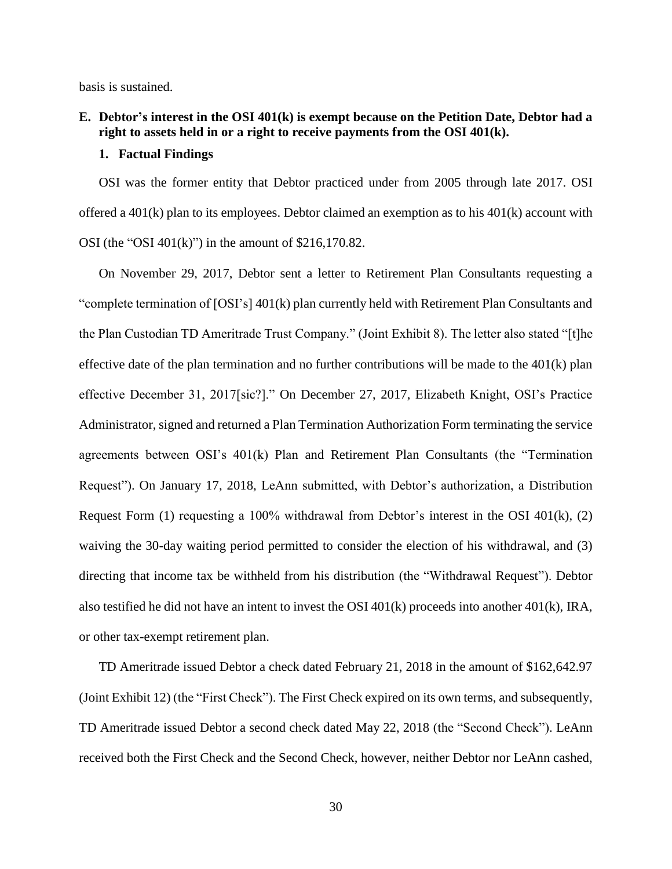basis is sustained.

## **E. Debtor's interest in the OSI 401(k) is exempt because on the Petition Date, Debtor had a right to assets held in or a right to receive payments from the OSI 401(k).**

### **1. Factual Findings**

OSI was the former entity that Debtor practiced under from 2005 through late 2017. OSI offered a  $401(k)$  plan to its employees. Debtor claimed an exemption as to his  $401(k)$  account with OSI (the "OSI  $401(k)$ ") in the amount of \$216,170.82.

On November 29, 2017, Debtor sent a letter to Retirement Plan Consultants requesting a "complete termination of  $[OSI's]$  401(k) plan currently held with Retirement Plan Consultants and the Plan Custodian TD Ameritrade Trust Company." (Joint Exhibit 8). The letter also stated "[t]he effective date of the plan termination and no further contributions will be made to the  $401(k)$  plan effective December 31, 2017[sic?]." On December 27, 2017, Elizabeth Knight, OSI's Practice Administrator, signed and returned a Plan Termination Authorization Form terminating the service agreements between OSI's 401(k) Plan and Retirement Plan Consultants (the "Termination Request"). On January 17, 2018, LeAnn submitted, with Debtor's authorization, a Distribution Request Form (1) requesting a 100% withdrawal from Debtor's interest in the OSI 401(k), (2) waiving the 30-day waiting period permitted to consider the election of his withdrawal, and (3) directing that income tax be withheld from his distribution (the "Withdrawal Request"). Debtor also testified he did not have an intent to invest the OSI 401(k) proceeds into another 401(k), IRA, or other tax-exempt retirement plan.

TD Ameritrade issued Debtor a check dated February 21, 2018 in the amount of \$162,642.97 (Joint Exhibit 12) (the "First Check"). The First Check expired on its own terms, and subsequently, TD Ameritrade issued Debtor a second check dated May 22, 2018 (the "Second Check"). LeAnn received both the First Check and the Second Check, however, neither Debtor nor LeAnn cashed,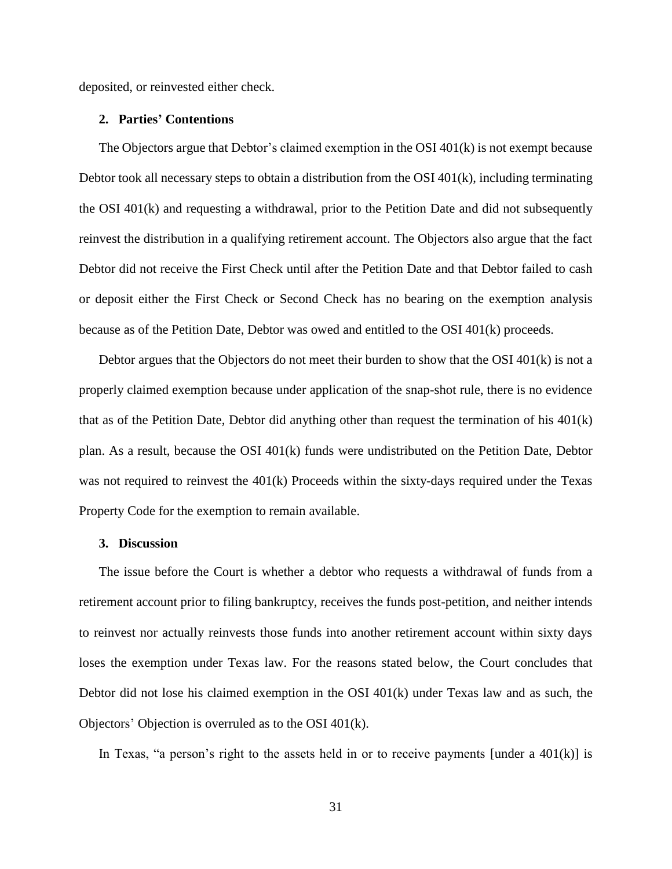deposited, or reinvested either check.

#### **2. Parties' Contentions**

The Objectors argue that Debtor's claimed exemption in the OSI 401(k) is not exempt because Debtor took all necessary steps to obtain a distribution from the OSI  $401(k)$ , including terminating the OSI 401(k) and requesting a withdrawal, prior to the Petition Date and did not subsequently reinvest the distribution in a qualifying retirement account. The Objectors also argue that the fact Debtor did not receive the First Check until after the Petition Date and that Debtor failed to cash or deposit either the First Check or Second Check has no bearing on the exemption analysis because as of the Petition Date, Debtor was owed and entitled to the OSI 401(k) proceeds.

Debtor argues that the Objectors do not meet their burden to show that the OSI  $401(k)$  is not a properly claimed exemption because under application of the snap-shot rule, there is no evidence that as of the Petition Date, Debtor did anything other than request the termination of his 401(k) plan. As a result, because the OSI 401(k) funds were undistributed on the Petition Date, Debtor was not required to reinvest the 401(k) Proceeds within the sixty-days required under the Texas Property Code for the exemption to remain available.

## **3. Discussion**

The issue before the Court is whether a debtor who requests a withdrawal of funds from a retirement account prior to filing bankruptcy, receives the funds post-petition, and neither intends to reinvest nor actually reinvests those funds into another retirement account within sixty days loses the exemption under Texas law. For the reasons stated below, the Court concludes that Debtor did not lose his claimed exemption in the OSI 401(k) under Texas law and as such, the Objectors' Objection is overruled as to the OSI 401(k).

In Texas, "a person's right to the assets held in or to receive payments [under a  $401(k)$ ] is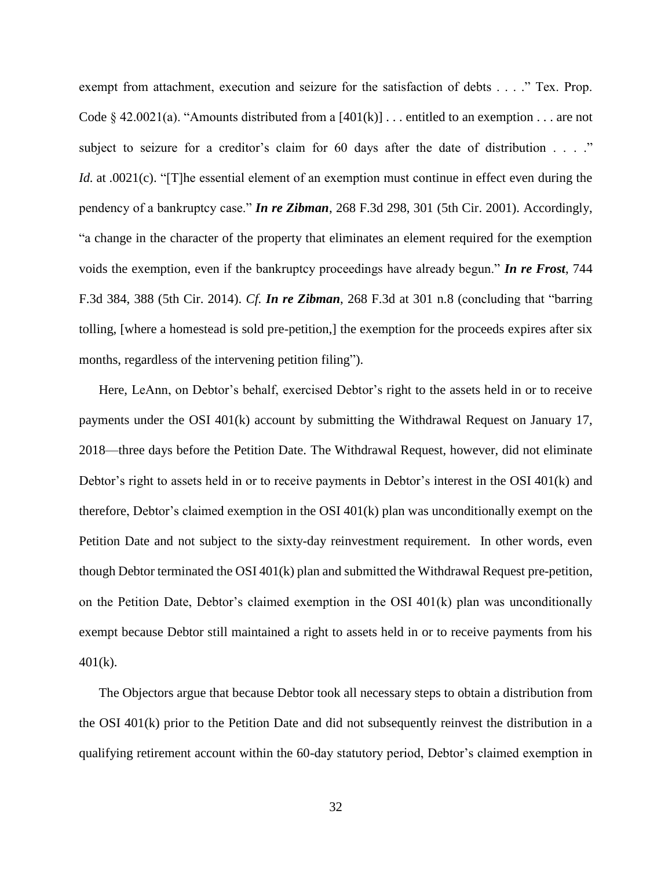exempt from attachment, execution and seizure for the satisfaction of debts . . . ." Tex. Prop. Code § 42.0021(a). "Amounts distributed from a  $[401(k)]$ ... entitled to an exemption ... are not subject to seizure for a creditor's claim for 60 days after the date of distribution . . . ." *Id.* at .0021(c). "[T]he essential element of an exemption must continue in effect even during the pendency of a bankruptcy case." *In re Zibman*, 268 F.3d 298, 301 (5th Cir. 2001). Accordingly, "a change in the character of the property that eliminates an element required for the exemption voids the exemption, even if the bankruptcy proceedings have already begun." *In re Frost*, 744 F.3d 384, 388 (5th Cir. 2014). *Cf. In re Zibman*, 268 F.3d at 301 n.8 (concluding that "barring tolling, [where a homestead is sold pre-petition,] the exemption for the proceeds expires after six months, regardless of the intervening petition filing").

Here, LeAnn, on Debtor's behalf, exercised Debtor's right to the assets held in or to receive payments under the OSI 401(k) account by submitting the Withdrawal Request on January 17, 2018—three days before the Petition Date. The Withdrawal Request, however, did not eliminate Debtor's right to assets held in or to receive payments in Debtor's interest in the OSI 401(k) and therefore, Debtor's claimed exemption in the OSI 401(k) plan was unconditionally exempt on the Petition Date and not subject to the sixty-day reinvestment requirement. In other words, even though Debtor terminated the OSI 401(k) plan and submitted the Withdrawal Request pre-petition, on the Petition Date, Debtor's claimed exemption in the OSI  $401(k)$  plan was unconditionally exempt because Debtor still maintained a right to assets held in or to receive payments from his  $401(k)$ .

The Objectors argue that because Debtor took all necessary steps to obtain a distribution from the OSI 401(k) prior to the Petition Date and did not subsequently reinvest the distribution in a qualifying retirement account within the 60-day statutory period, Debtor's claimed exemption in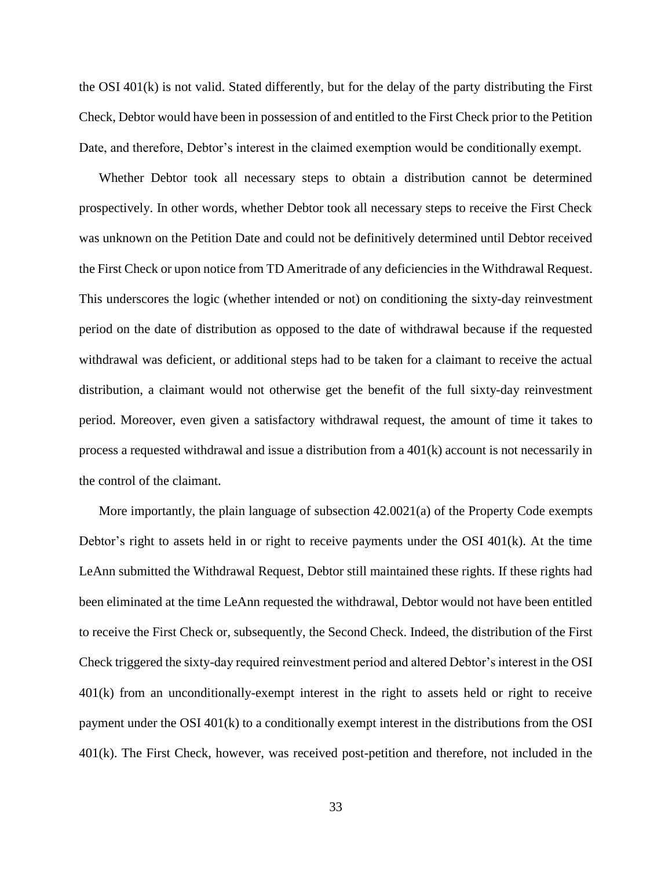the OSI 401(k) is not valid. Stated differently, but for the delay of the party distributing the First Check, Debtor would have been in possession of and entitled to the First Check prior to the Petition Date, and therefore, Debtor's interest in the claimed exemption would be conditionally exempt.

Whether Debtor took all necessary steps to obtain a distribution cannot be determined prospectively. In other words, whether Debtor took all necessary steps to receive the First Check was unknown on the Petition Date and could not be definitively determined until Debtor received the First Check or upon notice from TD Ameritrade of any deficiencies in the Withdrawal Request. This underscores the logic (whether intended or not) on conditioning the sixty-day reinvestment period on the date of distribution as opposed to the date of withdrawal because if the requested withdrawal was deficient, or additional steps had to be taken for a claimant to receive the actual distribution, a claimant would not otherwise get the benefit of the full sixty-day reinvestment period. Moreover, even given a satisfactory withdrawal request, the amount of time it takes to process a requested withdrawal and issue a distribution from a 401(k) account is not necessarily in the control of the claimant.

More importantly, the plain language of subsection 42.0021(a) of the Property Code exempts Debtor's right to assets held in or right to receive payments under the OSI 401(k). At the time LeAnn submitted the Withdrawal Request, Debtor still maintained these rights. If these rights had been eliminated at the time LeAnn requested the withdrawal, Debtor would not have been entitled to receive the First Check or, subsequently, the Second Check. Indeed, the distribution of the First Check triggered the sixty-day required reinvestment period and altered Debtor's interest in the OSI 401(k) from an unconditionally-exempt interest in the right to assets held or right to receive payment under the OSI 401(k) to a conditionally exempt interest in the distributions from the OSI 401(k). The First Check, however, was received post-petition and therefore, not included in the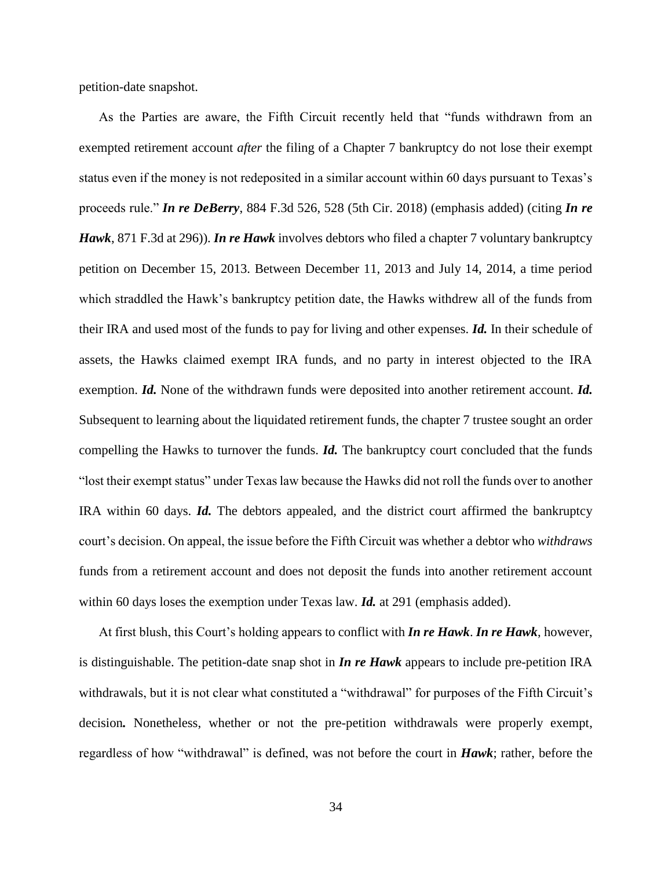petition-date snapshot.

As the Parties are aware, the Fifth Circuit recently held that "funds withdrawn from an exempted retirement account *after* the filing of a Chapter 7 bankruptcy do not lose their exempt status even if the money is not redeposited in a similar account within 60 days pursuant to Texas's proceeds rule." *In re DeBerry*, 884 F.3d 526, 528 (5th Cir. 2018) (emphasis added) (citing *In re Hawk*, 871 F.3d at 296)). *In re Hawk* involves debtors who filed a chapter 7 voluntary bankruptcy petition on December 15, 2013. Between December 11, 2013 and July 14, 2014, a time period which straddled the Hawk's bankruptcy petition date, the Hawks withdrew all of the funds from their IRA and used most of the funds to pay for living and other expenses. *Id.* In their schedule of assets, the Hawks claimed exempt IRA funds, and no party in interest objected to the IRA exemption. *Id.* None of the withdrawn funds were deposited into another retirement account. *Id.* Subsequent to learning about the liquidated retirement funds, the chapter 7 trustee sought an order compelling the Hawks to turnover the funds. *Id.* The bankruptcy court concluded that the funds "lost their exempt status" under Texas law because the Hawks did not roll the funds over to another IRA within 60 days. *Id.* The debtors appealed, and the district court affirmed the bankruptcy court's decision. On appeal, the issue before the Fifth Circuit was whether a debtor who *withdraws* funds from a retirement account and does not deposit the funds into another retirement account within 60 days loses the exemption under Texas law. *Id.* at 291 (emphasis added).

At first blush, this Court's holding appears to conflict with *In re Hawk*. *In re Hawk*, however, is distinguishable. The petition-date snap shot in *In re Hawk* appears to include pre-petition IRA withdrawals, but it is not clear what constituted a "withdrawal" for purposes of the Fifth Circuit's decision*.* Nonetheless, whether or not the pre-petition withdrawals were properly exempt, regardless of how "withdrawal" is defined, was not before the court in *Hawk*; rather, before the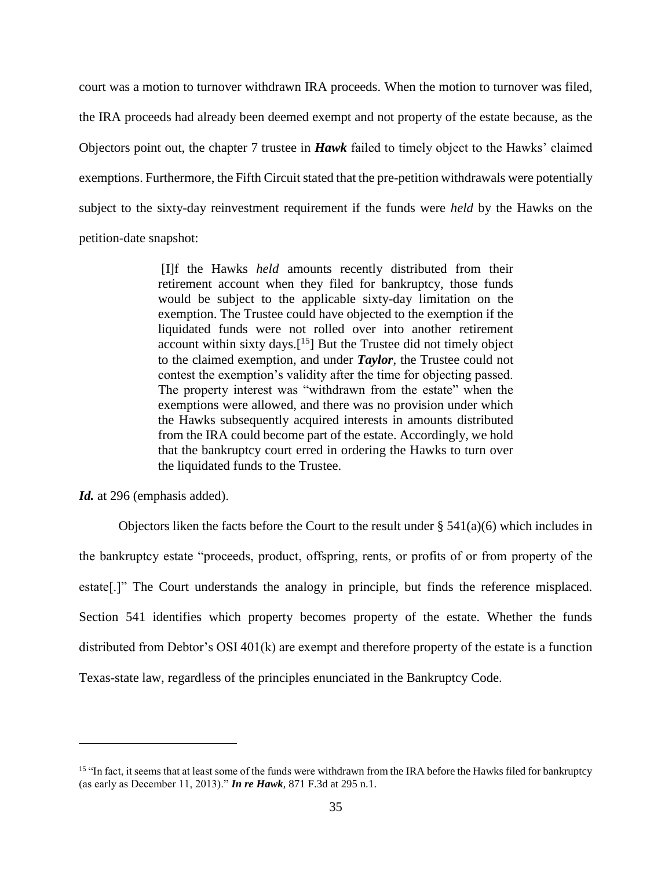court was a motion to turnover withdrawn IRA proceeds. When the motion to turnover was filed, the IRA proceeds had already been deemed exempt and not property of the estate because, as the Objectors point out, the chapter 7 trustee in *Hawk* failed to timely object to the Hawks' claimed exemptions. Furthermore, the Fifth Circuit stated that the pre-petition withdrawals were potentially subject to the sixty-day reinvestment requirement if the funds were *held* by the Hawks on the petition-date snapshot:

> [I]f the Hawks *held* amounts recently distributed from their retirement account when they filed for bankruptcy, those funds would be subject to the applicable sixty-day limitation on the exemption. The Trustee could have objected to the exemption if the liquidated funds were not rolled over into another retirement account within sixty days.<sup>[15</sup>] But the Trustee did not timely object to the claimed exemption, and under *Taylor*, the Trustee could not contest the exemption's validity after the time for objecting passed. The property interest was "withdrawn from the estate" when the exemptions were allowed, and there was no provision under which the Hawks subsequently acquired interests in amounts distributed from the IRA could become part of the estate. Accordingly, we hold that the bankruptcy court erred in ordering the Hawks to turn over the liquidated funds to the Trustee.

Id. at 296 (emphasis added).

 $\overline{a}$ 

Objectors liken the facts before the Court to the result under  $\S 541(a)(6)$  which includes in the bankruptcy estate "proceeds, product, offspring, rents, or profits of or from property of the estate[.]" The Court understands the analogy in principle, but finds the reference misplaced. Section 541 identifies which property becomes property of the estate. Whether the funds distributed from Debtor's OSI 401(k) are exempt and therefore property of the estate is a function Texas-state law, regardless of the principles enunciated in the Bankruptcy Code.

<sup>&</sup>lt;sup>15</sup> "In fact, it seems that at least some of the funds were withdrawn from the IRA before the Hawks filed for bankruptcy (as early as December 11, 2013)." *In re Hawk*, 871 F.3d at 295 n.1.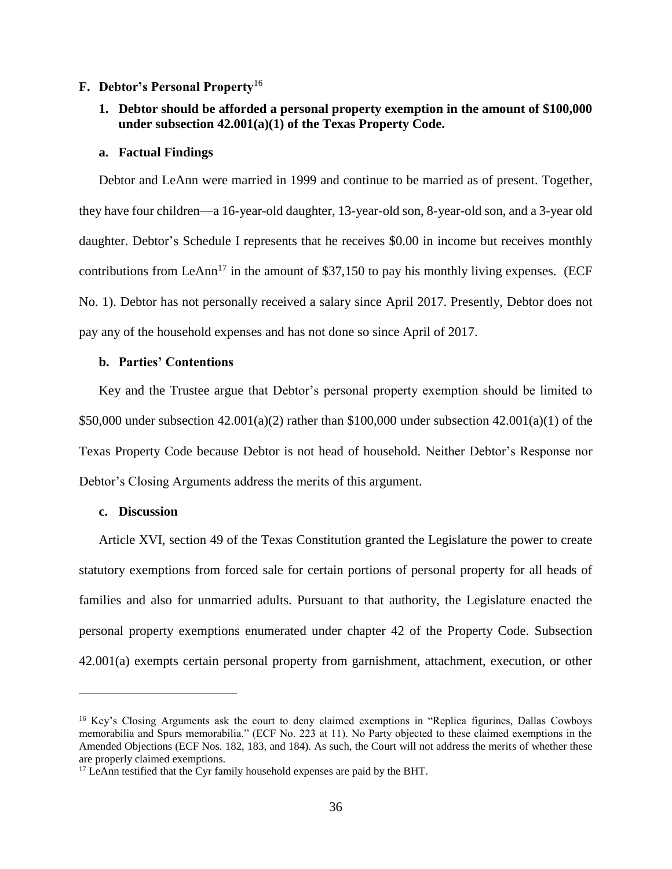## **F. Debtor's Personal Property**<sup>16</sup>

# **1. Debtor should be afforded a personal property exemption in the amount of \$100,000 under subsection 42.001(a)(1) of the Texas Property Code.**

#### **a. Factual Findings**

Debtor and LeAnn were married in 1999 and continue to be married as of present. Together, they have four children—a 16-year-old daughter, 13-year-old son, 8-year-old son, and a 3-year old daughter. Debtor's Schedule I represents that he receives \$0.00 in income but receives monthly contributions from LeAnn<sup>17</sup> in the amount of \$37,150 to pay his monthly living expenses. (ECF No. 1). Debtor has not personally received a salary since April 2017. Presently, Debtor does not pay any of the household expenses and has not done so since April of 2017.

# **b. Parties' Contentions**

Key and the Trustee argue that Debtor's personal property exemption should be limited to \$50,000 under subsection  $42.001(a)(2)$  rather than \$100,000 under subsection  $42.001(a)(1)$  of the Texas Property Code because Debtor is not head of household. Neither Debtor's Response nor Debtor's Closing Arguments address the merits of this argument.

## **c. Discussion**

 $\overline{a}$ 

Article XVI, section 49 of the Texas Constitution granted the Legislature the power to create statutory exemptions from forced sale for certain portions of personal property for all heads of families and also for unmarried adults. Pursuant to that authority, the Legislature enacted the personal property exemptions enumerated under chapter 42 of the Property Code. Subsection 42.001(a) exempts certain personal property from garnishment, attachment, execution, or other

<sup>&</sup>lt;sup>16</sup> Key's Closing Arguments ask the court to deny claimed exemptions in "Replica figurines, Dallas Cowboys" memorabilia and Spurs memorabilia." (ECF No. 223 at 11). No Party objected to these claimed exemptions in the Amended Objections (ECF Nos. 182, 183, and 184). As such, the Court will not address the merits of whether these are properly claimed exemptions.

 $17$  LeAnn testified that the Cyr family household expenses are paid by the BHT.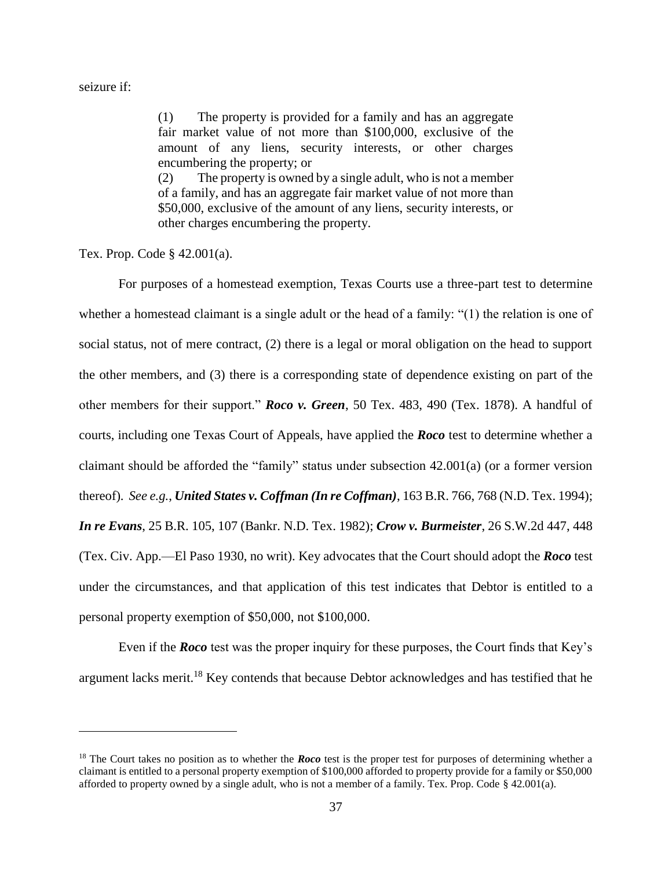### seizure if:

 $\overline{a}$ 

(1) The property is provided for a family and has an aggregate fair market value of not more than \$100,000, exclusive of the amount of any liens, security interests, or other charges encumbering the property; or (2) The property is owned by a single adult, who is not a member of a family, and has an aggregate fair market value of not more than \$50,000, exclusive of the amount of any liens, security interests, or other charges encumbering the property.

Tex. Prop. Code § 42.001(a).

For purposes of a homestead exemption, Texas Courts use a three-part test to determine whether a homestead claimant is a single adult or the head of a family: "(1) the relation is one of social status, not of mere contract, (2) there is a legal or moral obligation on the head to support the other members, and (3) there is a corresponding state of dependence existing on part of the other members for their support." *Roco v. Green*, 50 Tex. 483, 490 (Tex. 1878). A handful of courts, including one Texas Court of Appeals, have applied the *Roco* test to determine whether a claimant should be afforded the "family" status under subsection 42.001(a) (or a former version thereof). *See e.g.*, *United States v. Coffman (In re Coffman)*, 163 B.R. 766, 768 (N.D. Tex. 1994); *In re Evans*, 25 B.R. 105, 107 (Bankr. N.D. Tex. 1982); *Crow v. Burmeister*, 26 S.W.2d 447, 448 (Tex. Civ. App.—El Paso 1930, no writ). Key advocates that the Court should adopt the *Roco* test under the circumstances, and that application of this test indicates that Debtor is entitled to a personal property exemption of \$50,000, not \$100,000.

Even if the *Roco* test was the proper inquiry for these purposes, the Court finds that Key's argument lacks merit.<sup>18</sup> Key contends that because Debtor acknowledges and has testified that he

<sup>&</sup>lt;sup>18</sup> The Court takes no position as to whether the *Roco* test is the proper test for purposes of determining whether a claimant is entitled to a personal property exemption of \$100,000 afforded to property provide for a family or \$50,000 afforded to property owned by a single adult, who is not a member of a family. Tex. Prop. Code § 42.001(a).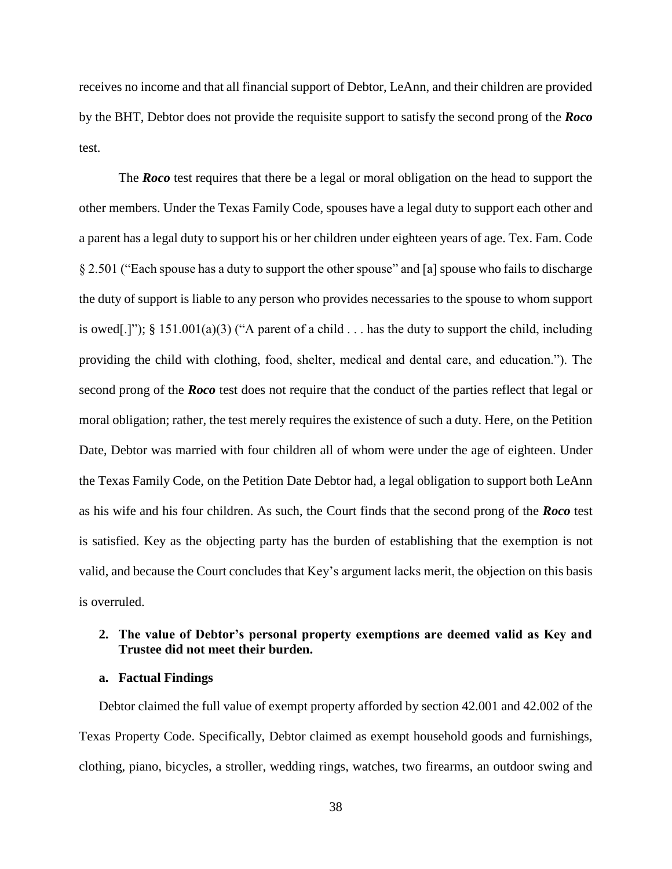receives no income and that all financial support of Debtor, LeAnn, and their children are provided by the BHT, Debtor does not provide the requisite support to satisfy the second prong of the *Roco*  test.

The *Roco* test requires that there be a legal or moral obligation on the head to support the other members. Under the Texas Family Code, spouses have a legal duty to support each other and a parent has a legal duty to support his or her children under eighteen years of age. Tex. Fam. Code § 2.501 ("Each spouse has a duty to support the other spouse" and [a] spouse who fails to discharge the duty of support is liable to any person who provides necessaries to the spouse to whom support is owed[.]"); § 151.001(a)(3) ("A parent of a child  $\ldots$  has the duty to support the child, including providing the child with clothing, food, shelter, medical and dental care, and education."). The second prong of the *Roco* test does not require that the conduct of the parties reflect that legal or moral obligation; rather, the test merely requires the existence of such a duty. Here, on the Petition Date, Debtor was married with four children all of whom were under the age of eighteen. Under the Texas Family Code, on the Petition Date Debtor had, a legal obligation to support both LeAnn as his wife and his four children. As such, the Court finds that the second prong of the *Roco* test is satisfied. Key as the objecting party has the burden of establishing that the exemption is not valid, and because the Court concludes that Key's argument lacks merit, the objection on this basis is overruled.

## **2. The value of Debtor's personal property exemptions are deemed valid as Key and Trustee did not meet their burden.**

## **a. Factual Findings**

Debtor claimed the full value of exempt property afforded by section 42.001 and 42.002 of the Texas Property Code. Specifically, Debtor claimed as exempt household goods and furnishings, clothing, piano, bicycles, a stroller, wedding rings, watches, two firearms, an outdoor swing and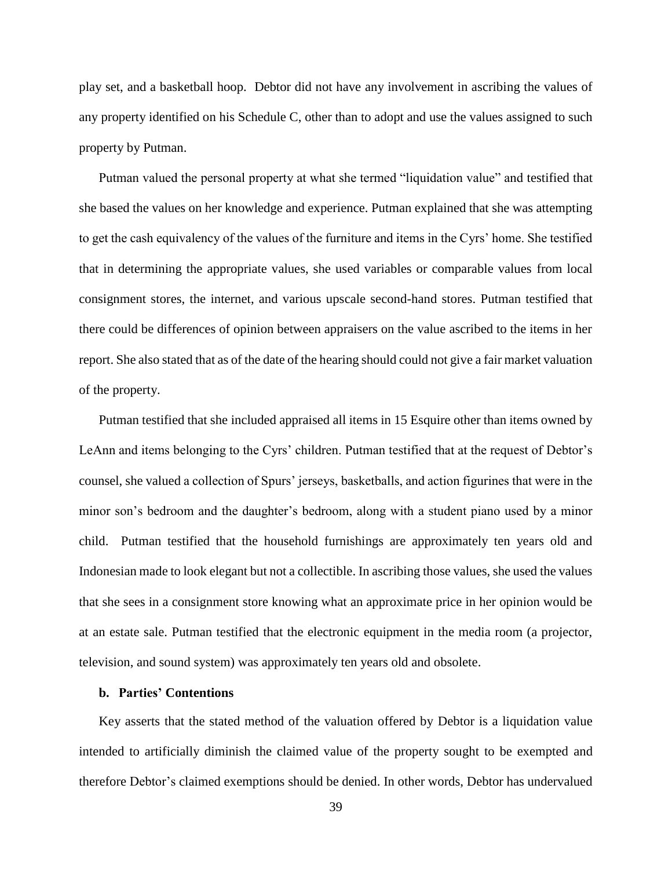play set, and a basketball hoop. Debtor did not have any involvement in ascribing the values of any property identified on his Schedule C, other than to adopt and use the values assigned to such property by Putman.

Putman valued the personal property at what she termed "liquidation value" and testified that she based the values on her knowledge and experience. Putman explained that she was attempting to get the cash equivalency of the values of the furniture and items in the Cyrs' home. She testified that in determining the appropriate values, she used variables or comparable values from local consignment stores, the internet, and various upscale second-hand stores. Putman testified that there could be differences of opinion between appraisers on the value ascribed to the items in her report. She also stated that as of the date of the hearing should could not give a fair market valuation of the property.

Putman testified that she included appraised all items in 15 Esquire other than items owned by LeAnn and items belonging to the Cyrs' children. Putman testified that at the request of Debtor's counsel, she valued a collection of Spurs' jerseys, basketballs, and action figurines that were in the minor son's bedroom and the daughter's bedroom, along with a student piano used by a minor child. Putman testified that the household furnishings are approximately ten years old and Indonesian made to look elegant but not a collectible. In ascribing those values, she used the values that she sees in a consignment store knowing what an approximate price in her opinion would be at an estate sale. Putman testified that the electronic equipment in the media room (a projector, television, and sound system) was approximately ten years old and obsolete.

## **b. Parties' Contentions**

Key asserts that the stated method of the valuation offered by Debtor is a liquidation value intended to artificially diminish the claimed value of the property sought to be exempted and therefore Debtor's claimed exemptions should be denied. In other words, Debtor has undervalued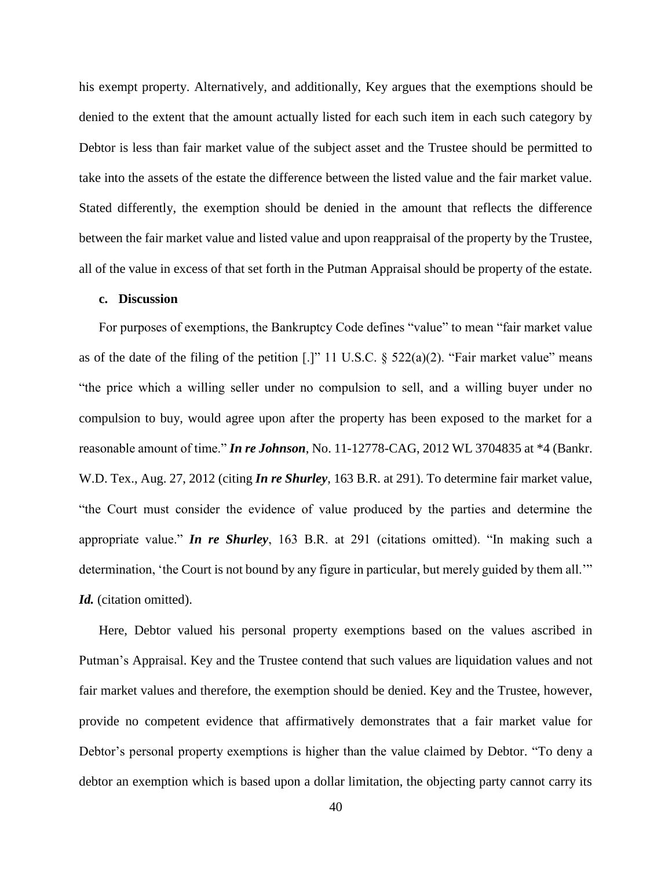his exempt property. Alternatively, and additionally, Key argues that the exemptions should be denied to the extent that the amount actually listed for each such item in each such category by Debtor is less than fair market value of the subject asset and the Trustee should be permitted to take into the assets of the estate the difference between the listed value and the fair market value. Stated differently, the exemption should be denied in the amount that reflects the difference between the fair market value and listed value and upon reappraisal of the property by the Trustee, all of the value in excess of that set forth in the Putman Appraisal should be property of the estate.

## **c. Discussion**

For purposes of exemptions, the Bankruptcy Code defines "value" to mean "fair market value as of the date of the filing of the petition [.]" 11 U.S.C.  $\S$  522(a)(2). "Fair market value" means "the price which a willing seller under no compulsion to sell, and a willing buyer under no compulsion to buy, would agree upon after the property has been exposed to the market for a reasonable amount of time." *In re Johnson*, No. 11-12778-CAG, 2012 WL 3704835 at \*4 (Bankr. W.D. Tex., Aug. 27, 2012 (citing *In re Shurley*, 163 B.R. at 291). To determine fair market value, "the Court must consider the evidence of value produced by the parties and determine the appropriate value." *In re Shurley*, 163 B.R. at 291 (citations omitted). "In making such a determination, 'the Court is not bound by any figure in particular, but merely guided by them all." Id. (citation omitted).

Here, Debtor valued his personal property exemptions based on the values ascribed in Putman's Appraisal. Key and the Trustee contend that such values are liquidation values and not fair market values and therefore, the exemption should be denied. Key and the Trustee, however, provide no competent evidence that affirmatively demonstrates that a fair market value for Debtor's personal property exemptions is higher than the value claimed by Debtor. "To deny a debtor an exemption which is based upon a dollar limitation, the objecting party cannot carry its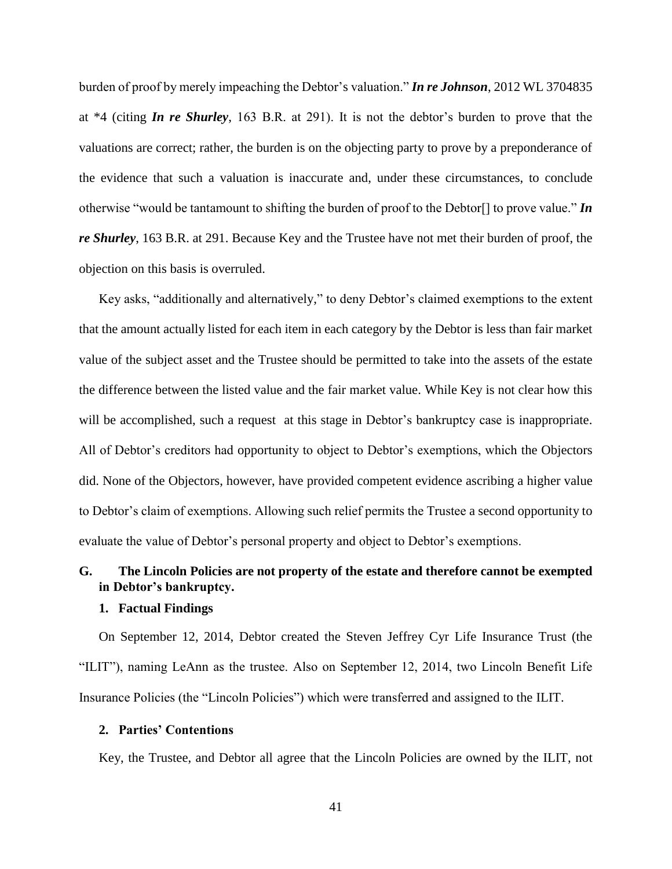burden of proof by merely impeaching the Debtor's valuation." *In re Johnson*, 2012 WL 3704835 at \*4 (citing *In re Shurley*, 163 B.R. at 291). It is not the debtor's burden to prove that the valuations are correct; rather, the burden is on the objecting party to prove by a preponderance of the evidence that such a valuation is inaccurate and, under these circumstances, to conclude otherwise "would be tantamount to shifting the burden of proof to the Debtor[] to prove value." *In re Shurley*, 163 B.R. at 291. Because Key and the Trustee have not met their burden of proof, the objection on this basis is overruled.

Key asks, "additionally and alternatively," to deny Debtor's claimed exemptions to the extent that the amount actually listed for each item in each category by the Debtor is less than fair market value of the subject asset and the Trustee should be permitted to take into the assets of the estate the difference between the listed value and the fair market value. While Key is not clear how this will be accomplished, such a request at this stage in Debtor's bankruptcy case is inappropriate. All of Debtor's creditors had opportunity to object to Debtor's exemptions, which the Objectors did. None of the Objectors, however, have provided competent evidence ascribing a higher value to Debtor's claim of exemptions. Allowing such relief permits the Trustee a second opportunity to evaluate the value of Debtor's personal property and object to Debtor's exemptions.

# **G. The Lincoln Policies are not property of the estate and therefore cannot be exempted in Debtor's bankruptcy.**

## **1. Factual Findings**

On September 12, 2014, Debtor created the Steven Jeffrey Cyr Life Insurance Trust (the "ILIT"), naming LeAnn as the trustee. Also on September 12, 2014, two Lincoln Benefit Life Insurance Policies (the "Lincoln Policies") which were transferred and assigned to the ILIT.

## **2. Parties' Contentions**

Key, the Trustee, and Debtor all agree that the Lincoln Policies are owned by the ILIT, not

41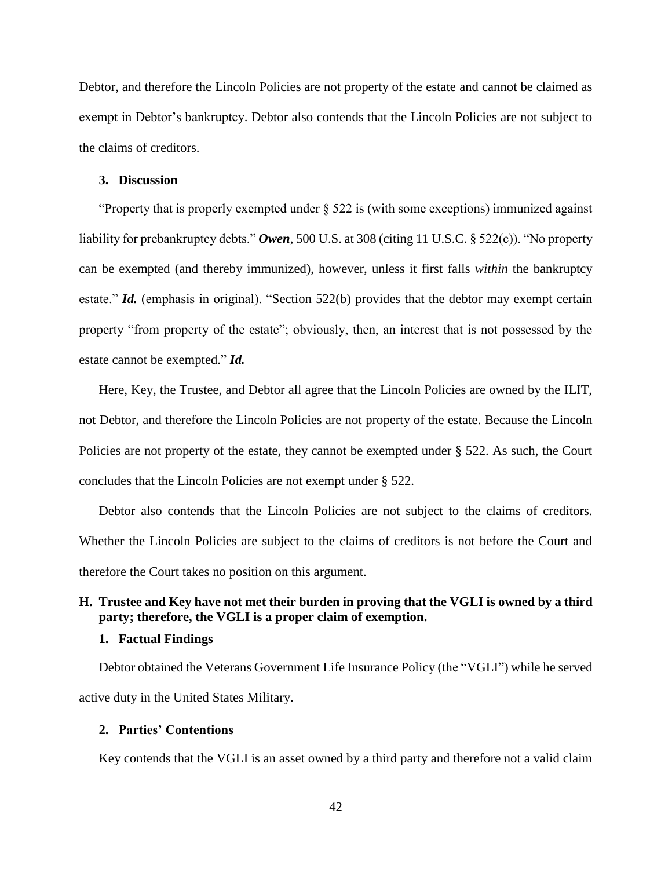Debtor, and therefore the Lincoln Policies are not property of the estate and cannot be claimed as exempt in Debtor's bankruptcy. Debtor also contends that the Lincoln Policies are not subject to the claims of creditors.

### **3. Discussion**

"Property that is properly exempted under  $\S 522$  is (with some exceptions) immunized against liability for prebankruptcy debts." *Owen*, 500 U.S. at 308 (citing 11 U.S.C. § 522(c)). "No property can be exempted (and thereby immunized), however, unless it first falls *within* the bankruptcy estate." *Id.* (emphasis in original). "Section 522(b) provides that the debtor may exempt certain property "from property of the estate"; obviously, then, an interest that is not possessed by the estate cannot be exempted." *Id.*

Here, Key, the Trustee, and Debtor all agree that the Lincoln Policies are owned by the ILIT, not Debtor, and therefore the Lincoln Policies are not property of the estate. Because the Lincoln Policies are not property of the estate, they cannot be exempted under § 522. As such, the Court concludes that the Lincoln Policies are not exempt under § 522.

Debtor also contends that the Lincoln Policies are not subject to the claims of creditors. Whether the Lincoln Policies are subject to the claims of creditors is not before the Court and therefore the Court takes no position on this argument.

# **H. Trustee and Key have not met their burden in proving that the VGLI is owned by a third party; therefore, the VGLI is a proper claim of exemption.**

## **1. Factual Findings**

Debtor obtained the Veterans Government Life Insurance Policy (the "VGLI") while he served active duty in the United States Military.

## **2. Parties' Contentions**

Key contends that the VGLI is an asset owned by a third party and therefore not a valid claim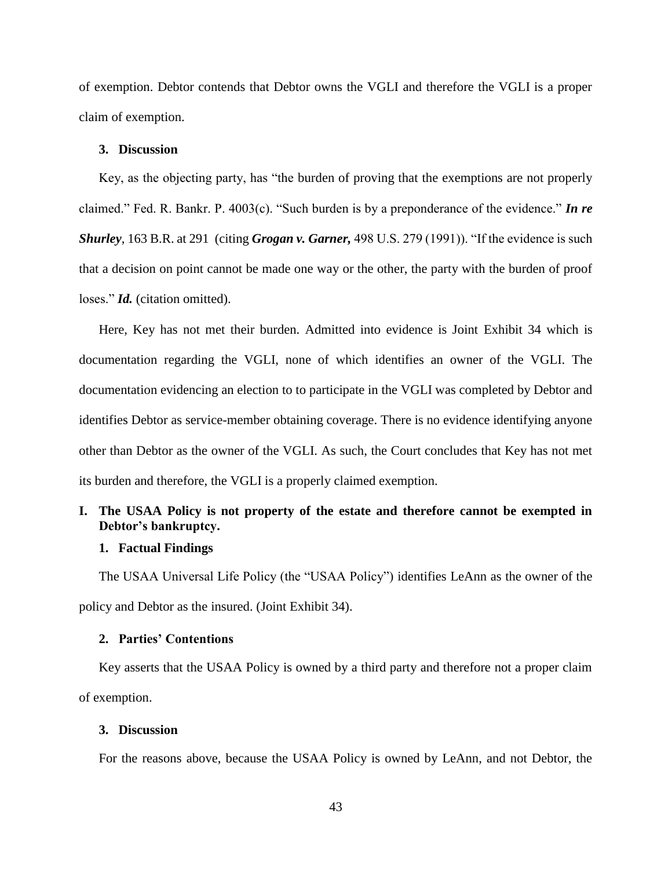of exemption. Debtor contends that Debtor owns the VGLI and therefore the VGLI is a proper claim of exemption.

## **3. Discussion**

Key, as the objecting party, has "the burden of proving that the exemptions are not properly claimed." Fed. R. Bankr. P. 4003(c). "Such burden is by a preponderance of the evidence." *In re Shurley*, 163 B.R. at 291 (citing *Grogan v. Garner,* 498 U.S. 279 (1991)). "If the evidence is such that a decision on point cannot be made one way or the other, the party with the burden of proof loses." *Id.* (citation omitted).

Here, Key has not met their burden. Admitted into evidence is Joint Exhibit 34 which is documentation regarding the VGLI, none of which identifies an owner of the VGLI. The documentation evidencing an election to to participate in the VGLI was completed by Debtor and identifies Debtor as service-member obtaining coverage. There is no evidence identifying anyone other than Debtor as the owner of the VGLI. As such, the Court concludes that Key has not met its burden and therefore, the VGLI is a properly claimed exemption.

# **I. The USAA Policy is not property of the estate and therefore cannot be exempted in Debtor's bankruptcy.**

### **1. Factual Findings**

The USAA Universal Life Policy (the "USAA Policy") identifies LeAnn as the owner of the policy and Debtor as the insured. (Joint Exhibit 34).

## **2. Parties' Contentions**

Key asserts that the USAA Policy is owned by a third party and therefore not a proper claim of exemption.

## **3. Discussion**

For the reasons above, because the USAA Policy is owned by LeAnn, and not Debtor, the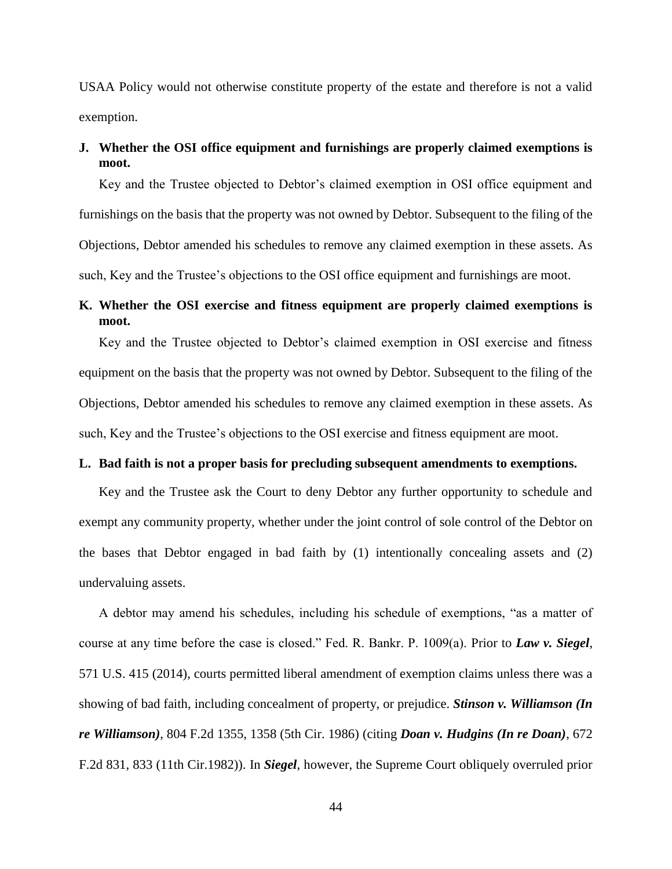USAA Policy would not otherwise constitute property of the estate and therefore is not a valid exemption.

# **J. Whether the OSI office equipment and furnishings are properly claimed exemptions is moot.**

Key and the Trustee objected to Debtor's claimed exemption in OSI office equipment and furnishings on the basis that the property was not owned by Debtor. Subsequent to the filing of the Objections, Debtor amended his schedules to remove any claimed exemption in these assets. As such, Key and the Trustee's objections to the OSI office equipment and furnishings are moot.

# **K. Whether the OSI exercise and fitness equipment are properly claimed exemptions is moot.**

Key and the Trustee objected to Debtor's claimed exemption in OSI exercise and fitness equipment on the basis that the property was not owned by Debtor. Subsequent to the filing of the Objections, Debtor amended his schedules to remove any claimed exemption in these assets. As such, Key and the Trustee's objections to the OSI exercise and fitness equipment are moot.

# **L. Bad faith is not a proper basis for precluding subsequent amendments to exemptions.**

Key and the Trustee ask the Court to deny Debtor any further opportunity to schedule and exempt any community property, whether under the joint control of sole control of the Debtor on the bases that Debtor engaged in bad faith by (1) intentionally concealing assets and (2) undervaluing assets.

A debtor may amend his schedules, including his schedule of exemptions, "as a matter of course at any time before the case is closed." Fed. R. Bankr. P. 1009(a). Prior to *Law v. Siegel*, 571 U.S. 415 (2014), courts permitted liberal amendment of exemption claims unless there was a showing of bad faith, including concealment of property, or prejudice. *Stinson v. Williamson (In re Williamson)*, 804 F.2d 1355, 1358 (5th Cir. 1986) (citing *Doan v. Hudgins (In re Doan)*, 672 F.2d 831, 833 (11th Cir.1982)). In *Siegel*, however, the Supreme Court obliquely overruled prior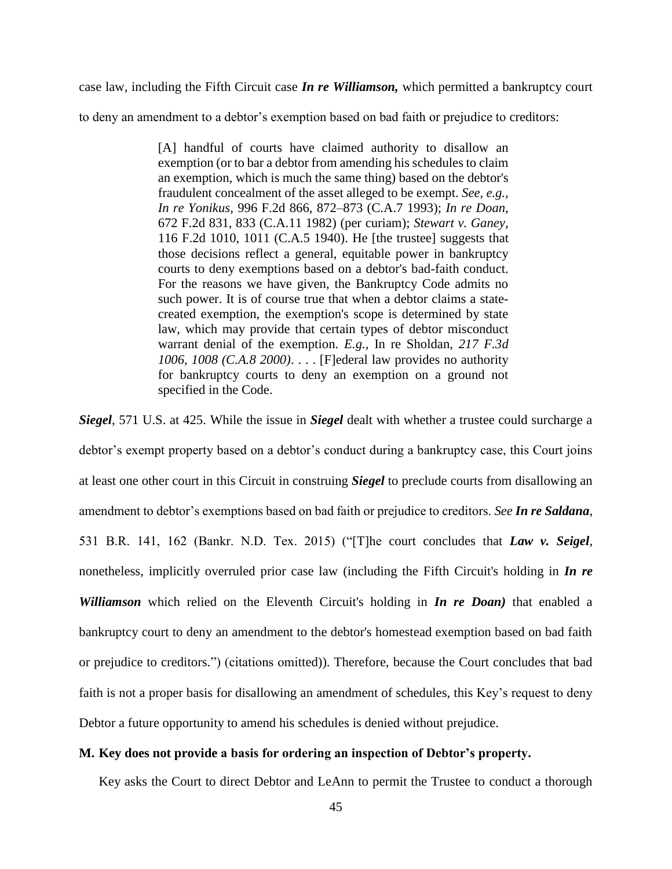case law, including the Fifth Circuit case *In re Williamson,* which permitted a bankruptcy court

to deny an amendment to a debtor's exemption based on bad faith or prejudice to creditors:

[A] handful of courts have claimed authority to disallow an exemption (or to bar a debtor from amending his schedules to claim an exemption, which is much the same thing) based on the debtor's fraudulent concealment of the asset alleged to be exempt. *See, e.g., In re Yonikus,* 996 F.2d 866, 872–873 (C.A.7 1993); *[In re Doan,](https://1.next.westlaw.com/Link/Document/FullText?findType=Y&serNum=1982112245&pubNum=0000350&originatingDoc=I93aa0d5003d911e5a24bb4584ab92c96&refType=RP&fi=co_pp_sp_350_833&originationContext=document&transitionType=DocumentItem&contextData=(sc.UserEnteredCitation)#co_pp_sp_350_833)* [672 F.2d 831, 833 \(C.A.11 1982\)](https://1.next.westlaw.com/Link/Document/FullText?findType=Y&serNum=1982112245&pubNum=0000350&originatingDoc=I93aa0d5003d911e5a24bb4584ab92c96&refType=RP&fi=co_pp_sp_350_833&originationContext=document&transitionType=DocumentItem&contextData=(sc.UserEnteredCitation)#co_pp_sp_350_833) (per curiam); *Stewart v. Ganey,* 116 F.2d 1010, 1011 (C.A.5 1940). He [the trustee] suggests that those decisions reflect a general, equitable power in bankruptcy courts to deny exemptions based on a debtor's bad-faith conduct. For the reasons we have given, the Bankruptcy Code admits no such power. It is of course true that when a debtor claims a statecreated exemption, the exemption's scope is determined by state law, which may provide that certain types of debtor misconduct warrant denial of the exemption. *E.g.,* [In re Sholdan,](https://1.next.westlaw.com/Link/Document/FullText?findType=Y&serNum=2000388146&pubNum=0000506&originatingDoc=I67ac4deba3aa11e3b58f910794d4f75e&refType=RP&fi=co_pp_sp_506_1008&originationContext=document&transitionType=DocumentItem&contextData=(sc.UserEnteredCitation)#co_pp_sp_506_1008) *217 F.3d [1006, 1008 \(C.A.8 2000\)](https://1.next.westlaw.com/Link/Document/FullText?findType=Y&serNum=2000388146&pubNum=0000506&originatingDoc=I67ac4deba3aa11e3b58f910794d4f75e&refType=RP&fi=co_pp_sp_506_1008&originationContext=document&transitionType=DocumentItem&contextData=(sc.UserEnteredCitation)#co_pp_sp_506_1008)*. . . . [F]ederal law provides no authority for bankruptcy courts to deny an exemption on a ground not specified in the Code.

*Siegel*, 571 U.S. at 425. While the issue in *Siegel* dealt with whether a trustee could surcharge a debtor's exempt property based on a debtor's conduct during a bankruptcy case, this Court joins at least one other court in this Circuit in construing *Siegel* to preclude courts from disallowing an amendment to debtor's exemptions based on bad faith or prejudice to creditors. *See In re Saldana*, 531 B.R. 141, 162 (Bankr. N.D. Tex. 2015) ("[T]he court concludes that *Law v. Seigel*, nonetheless, implicitly overruled prior case law (including the Fifth Circuit's holding in *In re Williamson* which relied on the Eleventh Circuit's holding in *In re Doan)* that enabled a bankruptcy court to deny an amendment to the debtor's homestead exemption based on bad faith or prejudice to creditors.") (citations omitted)). Therefore, because the Court concludes that bad faith is not a proper basis for disallowing an amendment of schedules, this Key's request to deny Debtor a future opportunity to amend his schedules is denied without prejudice.

# **M. Key does not provide a basis for ordering an inspection of Debtor's property.**

Key asks the Court to direct Debtor and LeAnn to permit the Trustee to conduct a thorough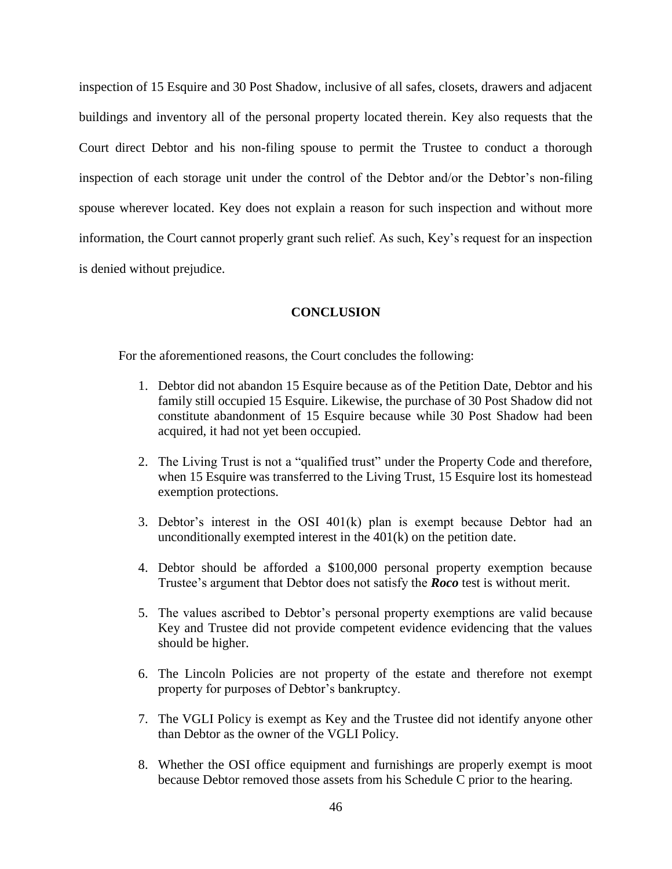inspection of 15 Esquire and 30 Post Shadow, inclusive of all safes, closets, drawers and adjacent buildings and inventory all of the personal property located therein. Key also requests that the Court direct Debtor and his non-filing spouse to permit the Trustee to conduct a thorough inspection of each storage unit under the control of the Debtor and/or the Debtor's non-filing spouse wherever located. Key does not explain a reason for such inspection and without more information, the Court cannot properly grant such relief. As such, Key's request for an inspection is denied without prejudice.

#### **CONCLUSION**

For the aforementioned reasons, the Court concludes the following:

- 1. Debtor did not abandon 15 Esquire because as of the Petition Date, Debtor and his family still occupied 15 Esquire. Likewise, the purchase of 30 Post Shadow did not constitute abandonment of 15 Esquire because while 30 Post Shadow had been acquired, it had not yet been occupied.
- 2. The Living Trust is not a "qualified trust" under the Property Code and therefore, when 15 Esquire was transferred to the Living Trust, 15 Esquire lost its homestead exemption protections.
- 3. Debtor's interest in the OSI 401(k) plan is exempt because Debtor had an unconditionally exempted interest in the  $401(k)$  on the petition date.
- 4. Debtor should be afforded a \$100,000 personal property exemption because Trustee's argument that Debtor does not satisfy the *Roco* test is without merit.
- 5. The values ascribed to Debtor's personal property exemptions are valid because Key and Trustee did not provide competent evidence evidencing that the values should be higher.
- 6. The Lincoln Policies are not property of the estate and therefore not exempt property for purposes of Debtor's bankruptcy.
- 7. The VGLI Policy is exempt as Key and the Trustee did not identify anyone other than Debtor as the owner of the VGLI Policy.
- 8. Whether the OSI office equipment and furnishings are properly exempt is moot because Debtor removed those assets from his Schedule C prior to the hearing.